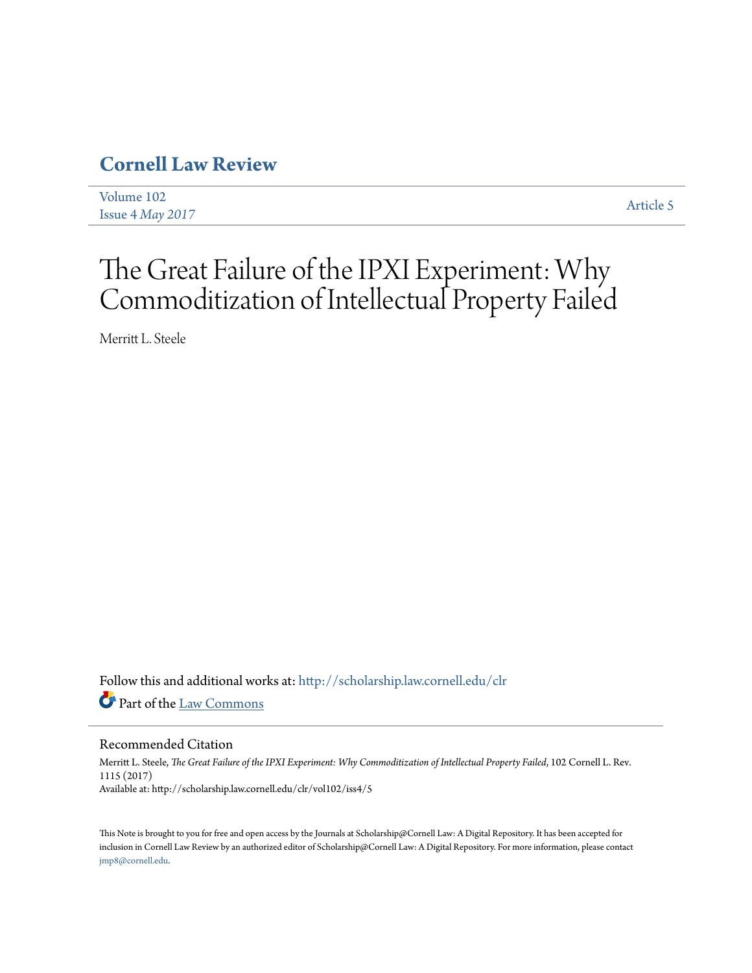## **[Cornell Law Review](http://scholarship.law.cornell.edu/clr?utm_source=scholarship.law.cornell.edu%2Fclr%2Fvol102%2Fiss4%2F5&utm_medium=PDF&utm_campaign=PDFCoverPages)**

| Volume 102                | Article 5 |
|---------------------------|-----------|
| Issue $4$ <i>May</i> 2017 |           |

# The Great Failure of the IPXI Experiment: Why Commoditization of Intellectual Property Failed

Merritt L. Steele

Follow this and additional works at: [http://scholarship.law.cornell.edu/clr](http://scholarship.law.cornell.edu/clr?utm_source=scholarship.law.cornell.edu%2Fclr%2Fvol102%2Fiss4%2F5&utm_medium=PDF&utm_campaign=PDFCoverPages) Part of the [Law Commons](http://network.bepress.com/hgg/discipline/578?utm_source=scholarship.law.cornell.edu%2Fclr%2Fvol102%2Fiss4%2F5&utm_medium=PDF&utm_campaign=PDFCoverPages)

## Recommended Citation

Merritt L. Steele, *The Great Failure of the IPXI Experiment: Why Commoditization of Intellectual Property Failed*, 102 Cornell L. Rev. 1115 (2017) Available at: http://scholarship.law.cornell.edu/clr/vol102/iss4/5

This Note is brought to you for free and open access by the Journals at Scholarship@Cornell Law: A Digital Repository. It has been accepted for inclusion in Cornell Law Review by an authorized editor of Scholarship@Cornell Law: A Digital Repository. For more information, please contact [jmp8@cornell.edu.](mailto:jmp8@cornell.edu)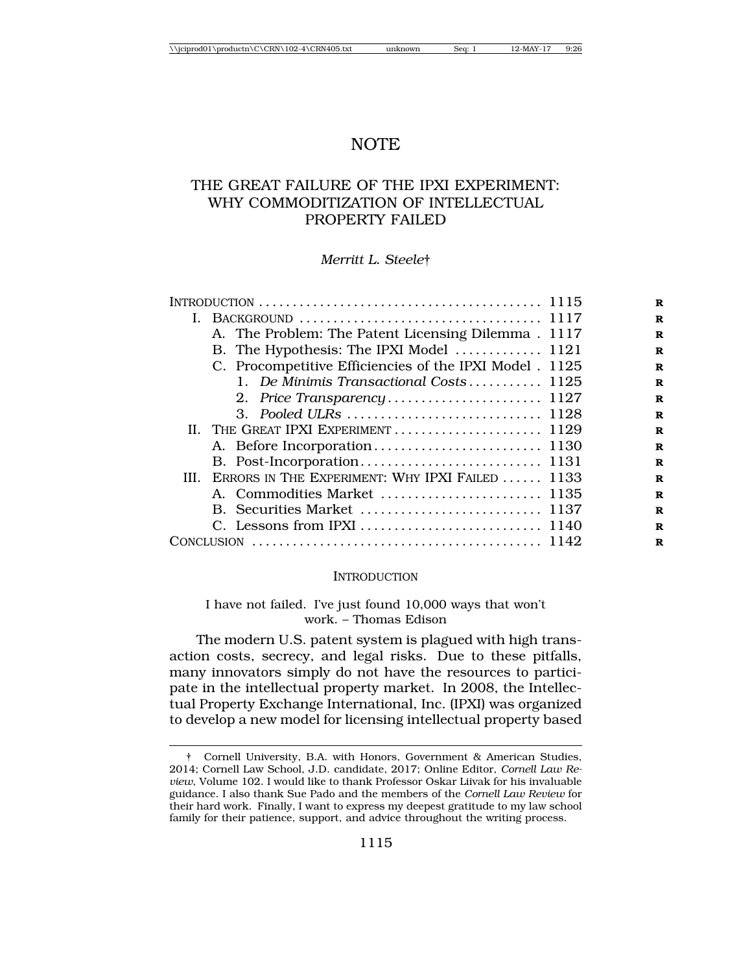## NOTE

## THE GREAT FAILURE OF THE IPXI EXPERIMENT: WHY COMMODITIZATION OF INTELLECTUAL PROPERTY FAILED

#### *Merritt L. Steele*†

|  | A. The Problem: The Patent Licensing Dilemma. 1117      |  |
|--|---------------------------------------------------------|--|
|  | B. The Hypothesis: The IPXI Model  1121                 |  |
|  | C. Procompetitive Efficiencies of the IPXI Model . 1125 |  |
|  | 1. De Minimis Transactional Costs 1125                  |  |
|  |                                                         |  |
|  |                                                         |  |
|  | II. THE GREAT IPXI EXPERIMENT  1129                     |  |
|  |                                                         |  |
|  |                                                         |  |
|  | III. ERRORS IN THE EXPERIMENT: WHY IPXI FAILED  1133    |  |
|  |                                                         |  |
|  |                                                         |  |
|  |                                                         |  |
|  |                                                         |  |

#### **INTRODUCTION**

#### I have not failed. I've just found 10,000 ways that won't work. – Thomas Edison

The modern U.S. patent system is plagued with high transaction costs, secrecy, and legal risks. Due to these pitfalls, many innovators simply do not have the resources to participate in the intellectual property market. In 2008, the Intellectual Property Exchange International, Inc. (IPXI) was organized to develop a new model for licensing intellectual property based

<sup>†</sup> Cornell University, B.A. with Honors, Government & American Studies, 2014; Cornell Law School, J.D. candidate, 2017; Online Editor, *Cornell Law Review*, Volume 102. I would like to thank Professor Oskar Liivak for his invaluable guidance. I also thank Sue Pado and the members of the *Cornell Law Review* for their hard work. Finally, I want to express my deepest gratitude to my law school family for their patience, support, and advice throughout the writing process.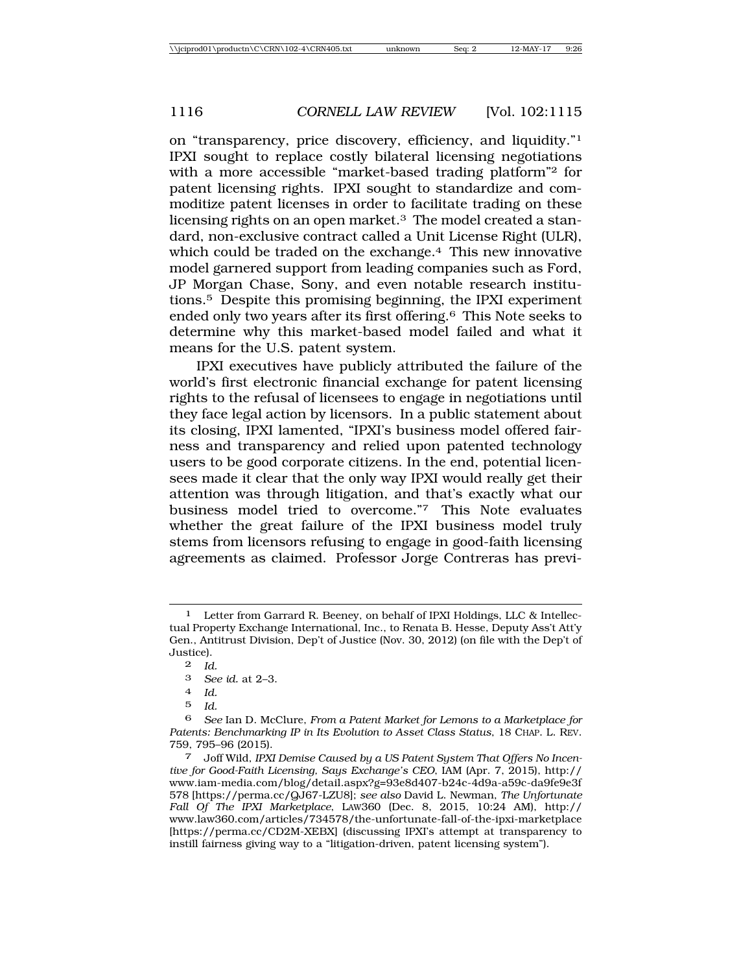on "transparency, price discovery, efficiency, and liquidity."1 IPXI sought to replace costly bilateral licensing negotiations with a more accessible "market-based trading platform"2 for patent licensing rights. IPXI sought to standardize and commoditize patent licenses in order to facilitate trading on these licensing rights on an open market.<sup>3</sup> The model created a standard, non-exclusive contract called a Unit License Right (ULR), which could be traded on the exchange.<sup>4</sup> This new innovative model garnered support from leading companies such as Ford, JP Morgan Chase, Sony, and even notable research institutions.5 Despite this promising beginning, the IPXI experiment ended only two years after its first offering.6 This Note seeks to determine why this market-based model failed and what it means for the U.S. patent system.

IPXI executives have publicly attributed the failure of the world's first electronic financial exchange for patent licensing rights to the refusal of licensees to engage in negotiations until they face legal action by licensors. In a public statement about its closing, IPXI lamented, "IPXI's business model offered fairness and transparency and relied upon patented technology users to be good corporate citizens. In the end, potential licensees made it clear that the only way IPXI would really get their attention was through litigation, and that's exactly what our business model tried to overcome."7 This Note evaluates whether the great failure of the IPXI business model truly stems from licensors refusing to engage in good-faith licensing agreements as claimed. Professor Jorge Contreras has previ-

Letter from Garrard R. Beeney, on behalf of IPXI Holdings, LLC & Intellectual Property Exchange International, Inc., to Renata B. Hesse, Deputy Ass't Att'y Gen., Antitrust Division, Dep't of Justice (Nov. 30, 2012) (on file with the Dep't of Justice).

<sup>2</sup> *Id.*

<sup>3</sup> *See id.* at 2–3.

<sup>4</sup> *Id.*

<sup>5</sup> *Id.*

<sup>6</sup> *See* Ian D. McClure, *From a Patent Market for Lemons to a Marketplace for Patents: Benchmarking IP in Its Evolution to Asset Class Status*, 18 CHAP. L. REV. 759, 795–96 (2015).

<sup>7</sup> Joff Wild, *IPXI Demise Caused by a US Patent System That Offers No Incentive for Good-Faith Licensing, Says Exchange's CEO*, IAM (Apr. 7, 2015), http:// www.iam-media.com/blog/detail.aspx?g=93e8d407-b24c-4d9a-a59c-da9fe9e3f 578 [https://perma.cc/QJ67-LZU8]; *see also* David L. Newman, *The Unfortunate Fall Of The IPXI Marketplace*, LAW360 (Dec. 8, 2015, 10:24 AM), http:// www.law360.com/articles/734578/the-unfortunate-fall-of-the-ipxi-marketplace [https://perma.cc/CD2M-XEBX] (discussing IPXI's attempt at transparency to instill fairness giving way to a "litigation-driven, patent licensing system").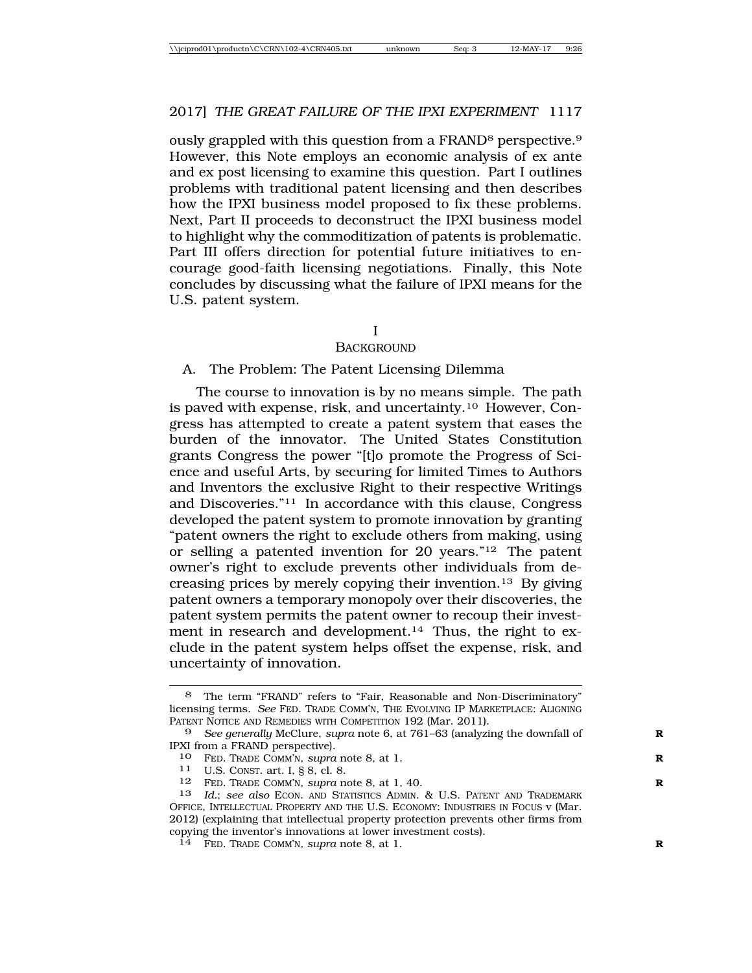ously grappled with this question from a FRAND8 perspective.9 However, this Note employs an economic analysis of ex ante and ex post licensing to examine this question. Part I outlines problems with traditional patent licensing and then describes how the IPXI business model proposed to fix these problems. Next, Part II proceeds to deconstruct the IPXI business model to highlight why the commoditization of patents is problematic. Part III offers direction for potential future initiatives to encourage good-faith licensing negotiations. Finally, this Note concludes by discussing what the failure of IPXI means for the U.S. patent system.

I

#### **BACKGROUND**

#### A. The Problem: The Patent Licensing Dilemma

The course to innovation is by no means simple. The path is paved with expense, risk, and uncertainty.10 However, Congress has attempted to create a patent system that eases the burden of the innovator. The United States Constitution grants Congress the power "[t]o promote the Progress of Science and useful Arts, by securing for limited Times to Authors and Inventors the exclusive Right to their respective Writings and Discoveries."11 In accordance with this clause, Congress developed the patent system to promote innovation by granting "patent owners the right to exclude others from making, using or selling a patented invention for 20 years."12 The patent owner's right to exclude prevents other individuals from decreasing prices by merely copying their invention.13 By giving patent owners a temporary monopoly over their discoveries, the patent system permits the patent owner to recoup their investment in research and development.<sup>14</sup> Thus, the right to exclude in the patent system helps offset the expense, risk, and uncertainty of innovation.

<sup>8</sup> The term "FRAND" refers to "Fair, Reasonable and Non-Discriminatory" licensing terms. *See* FED. TRADE COMM'N, THE EVOLVING IP MARKETPLACE: ALIGNING PATENT NOTICE AND REMEDIES WITH COMPETITION 192 (Mar. 2011).

<sup>9</sup> *See generally* McClure, *supra* note 6, at 761–63 (analyzing the downfall of **R** IPXI from a FRAND perspective).

<sup>10</sup> FED. TRADE COMM'N, *supra* note 8, at 1. **R**

<sup>11</sup> U.S. CONST. art. I, § 8, cl. 8.

<sup>12</sup> FED. TRADE COMM'N, *supra* note 8, at 1, 40. **R**

<sup>13</sup> *Id.*; *see also* ECON. AND STATISTICS ADMIN. & U.S. PATENT AND TRADEMARK OFFICE, INTELLECTUAL PROPERTY AND THE U.S. ECONOMY: INDUSTRIES IN FOCUS v (Mar. 2012) (explaining that intellectual property protection prevents other firms from copying the inventor's innovations at lower investment costs).

<sup>14</sup> FED. TRADE COMM'N*, supra* note 8, at 1. **R**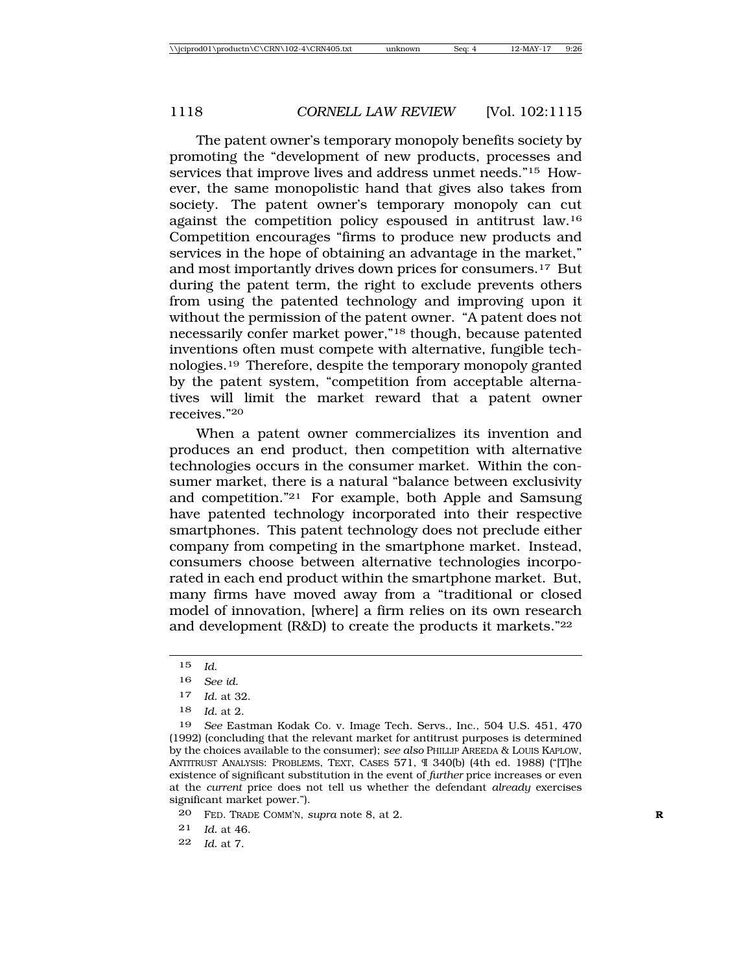The patent owner's temporary monopoly benefits society by promoting the "development of new products, processes and services that improve lives and address unmet needs."<sup>15</sup> However, the same monopolistic hand that gives also takes from society. The patent owner's temporary monopoly can cut against the competition policy espoused in antitrust law.16 Competition encourages "firms to produce new products and services in the hope of obtaining an advantage in the market," and most importantly drives down prices for consumers.17 But during the patent term, the right to exclude prevents others from using the patented technology and improving upon it without the permission of the patent owner. "A patent does not necessarily confer market power,"18 though, because patented inventions often must compete with alternative, fungible technologies.19 Therefore, despite the temporary monopoly granted by the patent system, "competition from acceptable alternatives will limit the market reward that a patent owner receives."20

When a patent owner commercializes its invention and produces an end product, then competition with alternative technologies occurs in the consumer market. Within the consumer market, there is a natural "balance between exclusivity and competition."21 For example, both Apple and Samsung have patented technology incorporated into their respective smartphones. This patent technology does not preclude either company from competing in the smartphone market. Instead, consumers choose between alternative technologies incorporated in each end product within the smartphone market. But, many firms have moved away from a "traditional or closed model of innovation, [where] a firm relies on its own research and development (R&D) to create the products it markets."22

17 *Id.* at 32.

<sup>15</sup> *Id*.

<sup>16</sup> *See id.*

<sup>18</sup> *Id.* at 2.

<sup>19</sup> *See* Eastman Kodak Co. v. Image Tech. Servs., Inc., 504 U.S. 451, 470 (1992) (concluding that the relevant market for antitrust purposes is determined by the choices available to the consumer); *see also* PHILLIP AREEDA & LOUIS KAPLOW, ANTITRUST ANALYSIS: PROBLEMS, TEXT, CASES 571, ¶ 340(b) (4th ed. 1988) ("[T]he existence of significant substitution in the event of *further* price increases or even at the *current* price does not tell us whether the defendant *already* exercises significant market power.").

<sup>20</sup> FED. TRADE COMM'N, *supra* note 8, at 2. **R**

<sup>21</sup> *Id.* at 46.

<sup>22</sup> *Id.* at 7.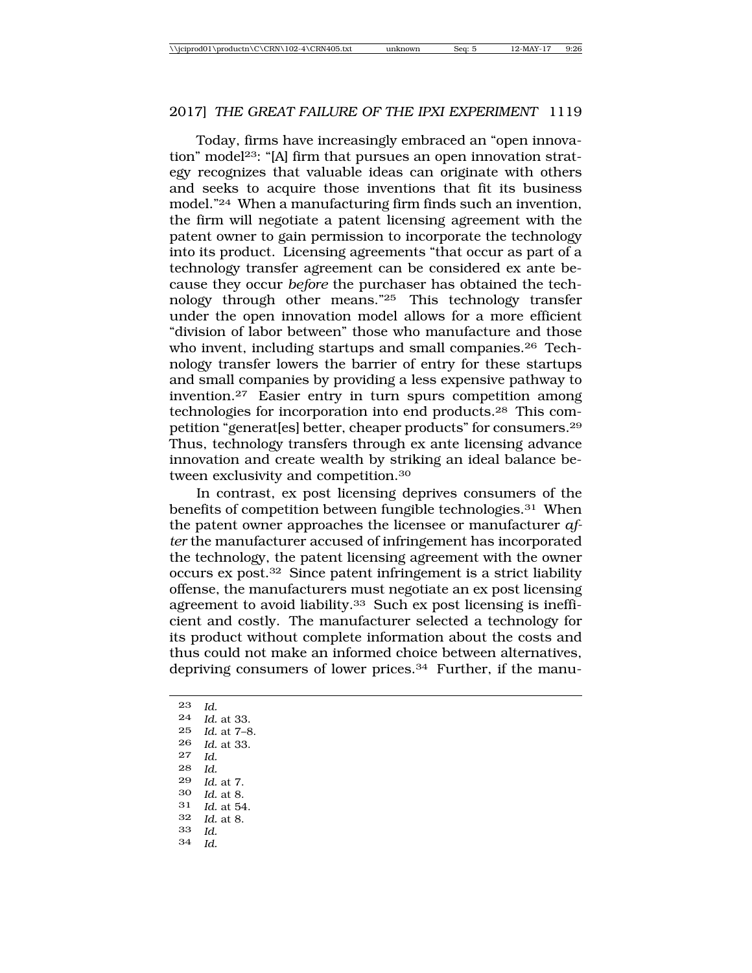Today, firms have increasingly embraced an "open innovation" model<sup>23</sup>: "[A] firm that pursues an open innovation strategy recognizes that valuable ideas can originate with others and seeks to acquire those inventions that fit its business model."24 When a manufacturing firm finds such an invention, the firm will negotiate a patent licensing agreement with the patent owner to gain permission to incorporate the technology into its product. Licensing agreements "that occur as part of a technology transfer agreement can be considered ex ante because they occur *before* the purchaser has obtained the technology through other means."25 This technology transfer under the open innovation model allows for a more efficient "division of labor between" those who manufacture and those who invent, including startups and small companies.<sup>26</sup> Technology transfer lowers the barrier of entry for these startups and small companies by providing a less expensive pathway to invention.27 Easier entry in turn spurs competition among technologies for incorporation into end products.28 This competition "generat[es] better, cheaper products" for consumers.29 Thus, technology transfers through ex ante licensing advance innovation and create wealth by striking an ideal balance between exclusivity and competition.30

In contrast, ex post licensing deprives consumers of the benefits of competition between fungible technologies.31 When the patent owner approaches the licensee or manufacturer *after* the manufacturer accused of infringement has incorporated the technology, the patent licensing agreement with the owner occurs ex post.32 Since patent infringement is a strict liability offense, the manufacturers must negotiate an ex post licensing agreement to avoid liability.33 Such ex post licensing is inefficient and costly. The manufacturer selected a technology for its product without complete information about the costs and thus could not make an informed choice between alternatives, depriving consumers of lower prices.34 Further, if the manu-

23 *Id.* 24 *Id.* at 33. *Id.* at 7–8. 26 *Id.* at 33. 27 *Id.* 28 *Id.* 29 *Id.* at 7. 30 *Id.* at 8. 31 *Id.* at 54. *Id.* at 8. 33 *Id.* 34 *Id.*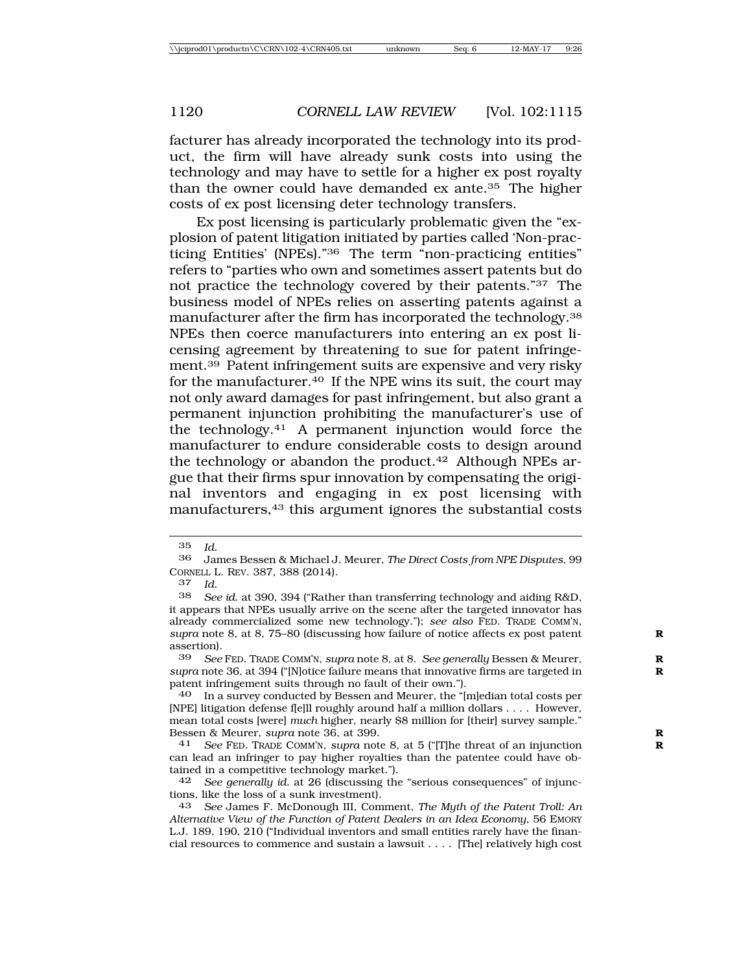facturer has already incorporated the technology into its product, the firm will have already sunk costs into using the technology and may have to settle for a higher ex post royalty than the owner could have demanded ex ante.35 The higher costs of ex post licensing deter technology transfers.

Ex post licensing is particularly problematic given the "explosion of patent litigation initiated by parties called 'Non-practicing Entities' (NPEs)."36 The term "non-practicing entities" refers to "parties who own and sometimes assert patents but do not practice the technology covered by their patents."37 The business model of NPEs relies on asserting patents against a manufacturer after the firm has incorporated the technology.38 NPEs then coerce manufacturers into entering an ex post licensing agreement by threatening to sue for patent infringement.39 Patent infringement suits are expensive and very risky for the manufacturer.40 If the NPE wins its suit, the court may not only award damages for past infringement, but also grant a permanent injunction prohibiting the manufacturer's use of the technology.41 A permanent injunction would force the manufacturer to endure considerable costs to design around the technology or abandon the product.42 Although NPEs argue that their firms spur innovation by compensating the original inventors and engaging in ex post licensing with manufacturers,43 this argument ignores the substantial costs

<sup>35</sup> *Id.*

<sup>36</sup> James Bessen & Michael J. Meurer, *The Direct Costs from NPE Disputes*, 99 CORNELL L. REV. 387, 388 (2014).<br>37 Id

<sup>37</sup> *Id.*

See id. at 390, 394 ("Rather than transferring technology and aiding R&D, it appears that NPEs usually arrive on the scene after the targeted innovator has already commercialized some new technology."); *see also* FED. TRADE COMM'N, *supra* note 8, at 8, 75–80 (discussing how failure of notice affects ex post patent **R** assertion).

<sup>39</sup> *See* FED. TRADE COMM'N, *supra* note 8, at 8. *See generally* Bessen & Meurer, **R** *supra* note 36, at 394 ("[N]otice failure means that innovative firms are targeted in **R** patent infringement suits through no fault of their own.").

<sup>40</sup> In a survey conducted by Bessen and Meurer, the "[m]edian total costs per [NPE] litigation defense f[e]ll roughly around half a million dollars . . . . However, mean total costs [were] *much* higher, nearly \$8 million for [their] survey sample." Bessen & Meurer, *supra* note 36, at 399. **R**

<sup>41</sup> *See* FED. TRADE COMM'N, *supra* note 8, at 5 ("[T]he threat of an injunction **R** can lead an infringer to pay higher royalties than the patentee could have obtained in a competitive technology market.").<br>42 See generally id. at 26 (discussing the

See generally id. at 26 (discussing the "serious consequences" of injunctions, like the loss of a sunk investment).

<sup>43</sup> *See* James F. McDonough III, Comment, *The Myth of the Patent Troll: An Alternative View of the Function of Patent Dealers in an Idea Economy*, 56 EMORY L.J. 189, 190, 210 ("Individual inventors and small entities rarely have the financial resources to commence and sustain a lawsuit . . . . [The] relatively high cost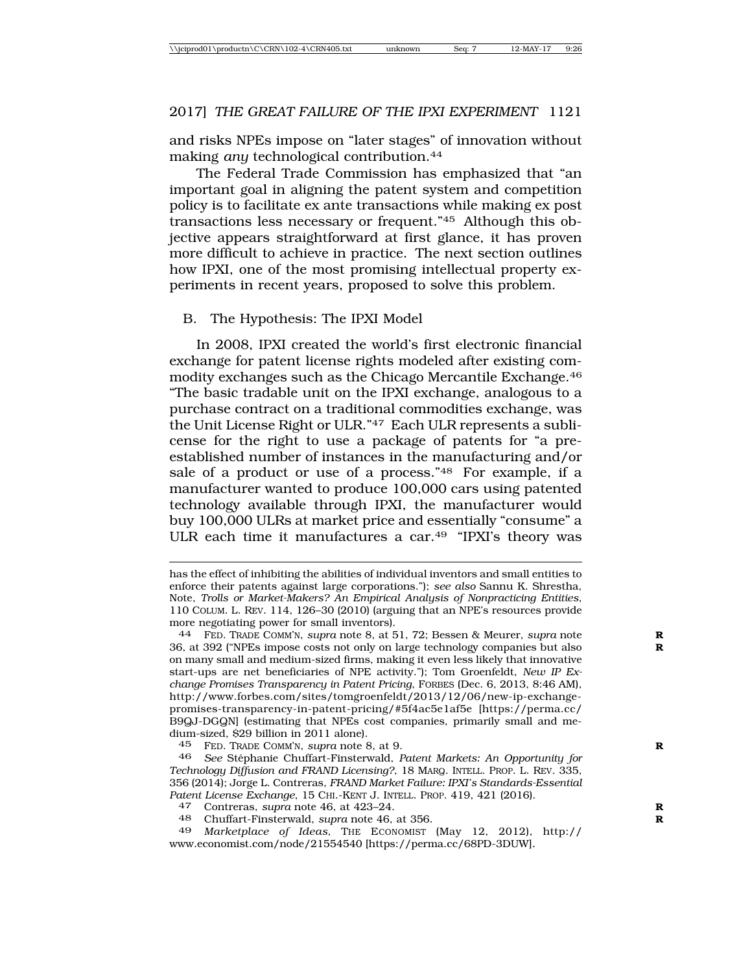and risks NPEs impose on "later stages" of innovation without making *any* technological contribution.44

The Federal Trade Commission has emphasized that "an important goal in aligning the patent system and competition policy is to facilitate ex ante transactions while making ex post transactions less necessary or frequent."45 Although this objective appears straightforward at first glance, it has proven more difficult to achieve in practice. The next section outlines how IPXI, one of the most promising intellectual property experiments in recent years, proposed to solve this problem.

#### B. The Hypothesis: The IPXI Model

In 2008, IPXI created the world's first electronic financial exchange for patent license rights modeled after existing commodity exchanges such as the Chicago Mercantile Exchange.46 "The basic tradable unit on the IPXI exchange, analogous to a purchase contract on a traditional commodities exchange, was the Unit License Right or ULR."47 Each ULR represents a sublicense for the right to use a package of patents for "a preestablished number of instances in the manufacturing and/or sale of a product or use of a process."48 For example, if a manufacturer wanted to produce 100,000 cars using patented technology available through IPXI, the manufacturer would buy 100,000 ULRs at market price and essentially "consume" a ULR each time it manufactures a car.49 "IPXI's theory was

48 Chuffart-Finsterwald, *supra* note 46, at 356. **R**

has the effect of inhibiting the abilities of individual inventors and small entities to enforce their patents against large corporations."); *see also* Sannu K. Shrestha, Note, *Trolls or Market-Makers? An Empirical Analysis of Nonpracticing Entities*, 110 COLUM. L. REV. 114, 126–30 (2010) (arguing that an NPE's resources provide more negotiating power for small inventors).

<sup>44</sup> FED. TRADE COMM'N, *supra* note 8, at 51, 72; Bessen & Meurer, *supra* note **R** 36, at 392 ("NPEs impose costs not only on large technology companies but also **R** on many small and medium-sized firms, making it even less likely that innovative start-ups are net beneficiaries of NPE activity."); Tom Groenfeldt, *New IP Exchange Promises Transparency in Patent Pricing*, FORBES (Dec. 6, 2013, 8:46 AM), http://www.forbes.com/sites/tomgroenfeldt/2013/12/06/new-ip-exchangepromises-transparency-in-patent-pricing/#5f4ac5e1af5e [https://perma.cc/ B9QJ-DGQN] (estimating that NPEs cost companies, primarily small and medium-sized, \$29 billion in 2011 alone).

<sup>45</sup> FED. TRADE COMM'N, *supra* note 8, at 9. **R**

<sup>46</sup> *See* St´ephanie Chuffart-Finsterwald, *Patent Markets: An Opportunity for Technology Diffusion and FRAND Licensing?*, 18 MARQ. INTELL. PROP. L. REV. 335, 356 (2014); Jorge L. Contreras, *FRAND Market Failure: IPXI's Standards-Essential Patent License Exchange*, 15 CHI.-KENT J. INTELL. PROP. 419, 421 (2016). <sup>47</sup> Contreras, *supra* note 46, at 423–24. **<sup>R</sup>**

<sup>49</sup> *Marketplace of Ideas*, THE ECONOMIST (May 12, 2012), http:// www.economist.com/node/21554540 [https://perma.cc/68PD-3DUW]*.*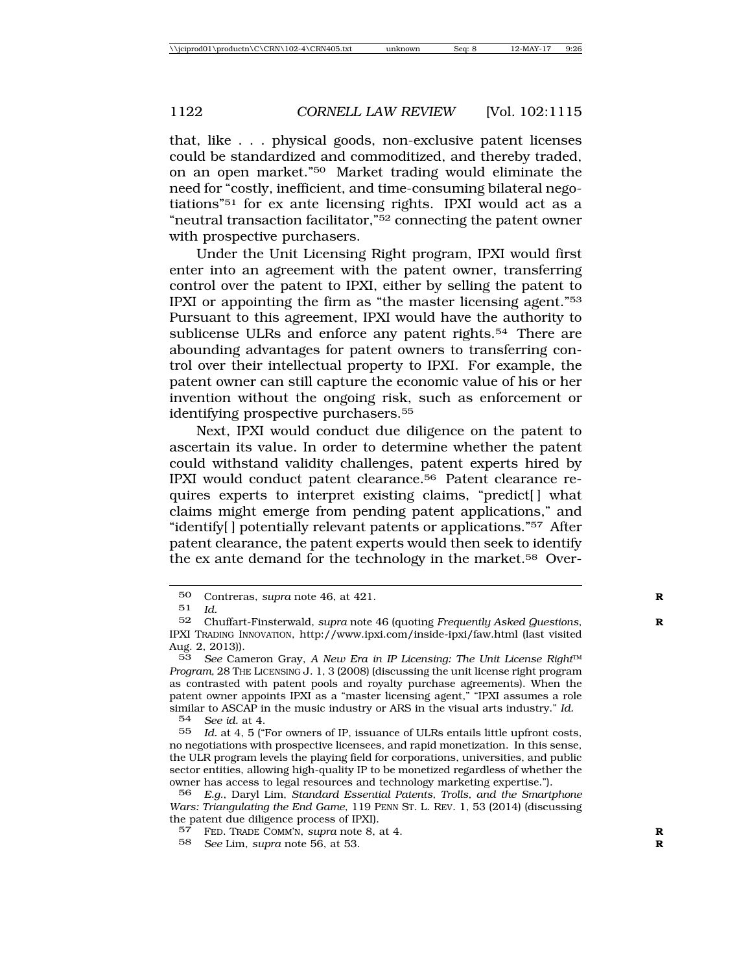that, like . . . physical goods, non-exclusive patent licenses could be standardized and commoditized, and thereby traded, on an open market."50 Market trading would eliminate the need for "costly, inefficient, and time-consuming bilateral negotiations"51 for ex ante licensing rights. IPXI would act as a "neutral transaction facilitator,"52 connecting the patent owner with prospective purchasers.

Under the Unit Licensing Right program, IPXI would first enter into an agreement with the patent owner, transferring control over the patent to IPXI, either by selling the patent to IPXI or appointing the firm as "the master licensing agent."53 Pursuant to this agreement, IPXI would have the authority to sublicense ULRs and enforce any patent rights.54 There are abounding advantages for patent owners to transferring control over their intellectual property to IPXI. For example, the patent owner can still capture the economic value of his or her invention without the ongoing risk, such as enforcement or identifying prospective purchasers.<sup>55</sup>

Next, IPXI would conduct due diligence on the patent to ascertain its value. In order to determine whether the patent could withstand validity challenges, patent experts hired by IPXI would conduct patent clearance.56 Patent clearance requires experts to interpret existing claims, "predict[ ] what claims might emerge from pending patent applications," and "identify[ ] potentially relevant patents or applications."57 After patent clearance, the patent experts would then seek to identify the ex ante demand for the technology in the market.58 Over-

54 *See id.* at 4.

Id. at 4, 5 ("For owners of IP, issuance of ULRs entails little upfront costs, no negotiations with prospective licensees, and rapid monetization. In this sense, the ULR program levels the playing field for corporations, universities, and public sector entities, allowing high-quality IP to be monetized regardless of whether the owner has access to legal resources and technology marketing expertise.").

<sup>50</sup> Contreras, *supra* note 46, at 421.<br>51  $Id$ 

<sup>51</sup> *Id.*

<sup>52</sup> Chuffart-Finsterwald, *supra* note 46 (quoting *Frequently Asked Questions*, **R** IPXI TRADING INNOVATION, http://www.ipxi.com/inside-ipxi/faw.html (last visited Aug. 2, 2013)).

<sup>53</sup> *See* Cameron Gray, *A New Era in IP Licensing: The Unit License Right*™ *Program*, 28 THE LICENSING J. 1, 3 (2008) (discussing the unit license right program as contrasted with patent pools and royalty purchase agreements). When the patent owner appoints IPXI as a "master licensing agent," "IPXI assumes a role similar to ASCAP in the music industry or ARS in the visual arts industry." *Id.*<br>54 See id. at 4

<sup>56</sup> *E.g.*, Daryl Lim, *Standard Essential Patents, Trolls, and the Smartphone Wars: Triangulating the End Game*, 119 PENN ST. L. REV. 1, 53 (2014) (discussing the patent due diligence process of IPXI).

<sup>57</sup> FED. TRADE COMM'N, *supra* note 8, at 4. **R**

<sup>58</sup> *See* Lim, *supra* note 56, at 53. **R**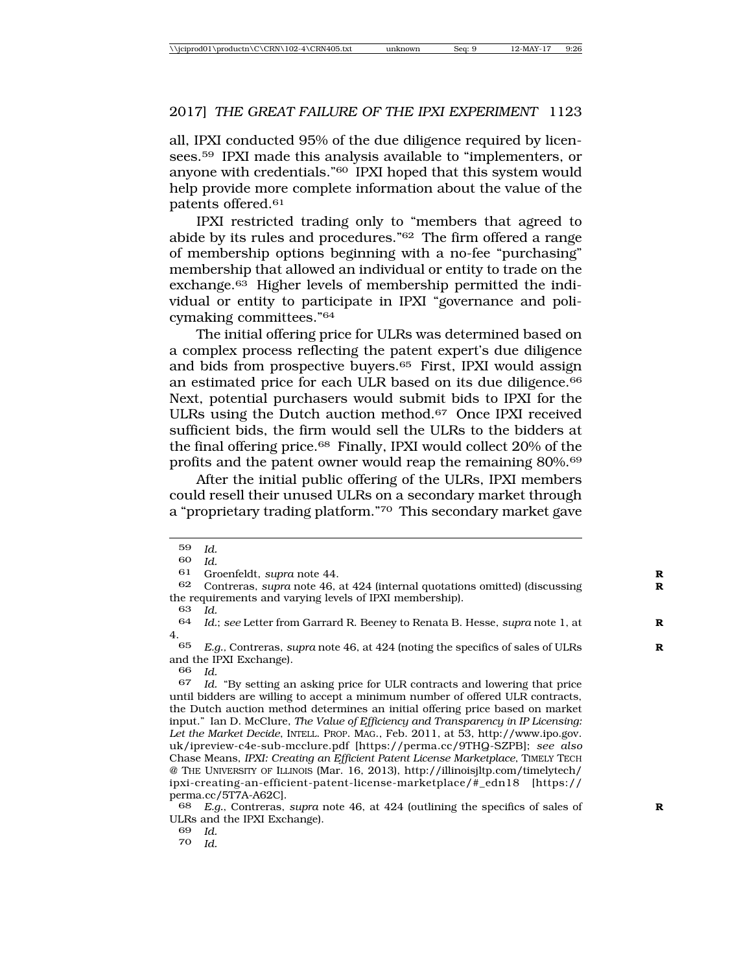all, IPXI conducted 95% of the due diligence required by licensees.59 IPXI made this analysis available to "implementers, or anyone with credentials."60 IPXI hoped that this system would help provide more complete information about the value of the patents offered.61

IPXI restricted trading only to "members that agreed to abide by its rules and procedures."62 The firm offered a range of membership options beginning with a no-fee "purchasing" membership that allowed an individual or entity to trade on the exchange.63 Higher levels of membership permitted the individual or entity to participate in IPXI "governance and policymaking committees."64

The initial offering price for ULRs was determined based on a complex process reflecting the patent expert's due diligence and bids from prospective buyers.<sup>65</sup> First, IPXI would assign an estimated price for each ULR based on its due diligence.<sup>66</sup> Next, potential purchasers would submit bids to IPXI for the ULRs using the Dutch auction method.67 Once IPXI received sufficient bids, the firm would sell the ULRs to the bidders at the final offering price.68 Finally, IPXI would collect 20% of the profits and the patent owner would reap the remaining 80%.69

After the initial public offering of the ULRs, IPXI members could resell their unused ULRs on a secondary market through a "proprietary trading platform."70 This secondary market gave

66 *Id.*

69 *Id.*

70 *Id.*

<sup>59</sup> *Id.*

<sup>60</sup> *Id.*

<sup>61</sup> Groenfeldt, *supra* note 44.<br>62 Contreras *supra* pote 46.

<sup>62</sup> Contreras, *supra* note 46, at 424 (internal quotations omitted) (discussing **R** the requirements and varying levels of IPXI membership).

<sup>63</sup> *Id.*

<sup>64</sup> *Id.*; *see* Letter from Garrard R. Beeney to Renata B. Hesse, *supra* note 1, at **R** 4.

<sup>65</sup> *E.g.,* Contreras, *supra* note 46, at 424 (noting the specifics of sales of ULRs **R** and the IPXI Exchange).

<sup>67</sup> *Id.* "By setting an asking price for ULR contracts and lowering that price until bidders are willing to accept a minimum number of offered ULR contracts, the Dutch auction method determines an initial offering price based on market input." Ian D. McClure, *The Value of Efficiency and Transparency in IP Licensing: Let the Market Decide*, INTELL. PROP. MAG., Feb. 2011, at 53, http://www.ipo.gov. uk/ipreview-c4e-sub-mcclure.pdf [https://perma.cc/9THQ-SZPB]; *see also* Chase Means, *IPXI: Creating an Efficient Patent License Marketplace*, TIMELY TECH @ THE UNIVERSITY OF ILLINOIS (Mar. 16, 2013), http://illinoisjltp.com/timelytech/ ipxi-creating-an-efficient-patent-license-marketplace/#\_edn18 [https:// perma.cc/5T7A-A62C].

<sup>68</sup> *E.g.*, Contreras, *supra* note 46, at 424 (outlining the specifics of sales of **R** ULRs and the IPXI Exchange).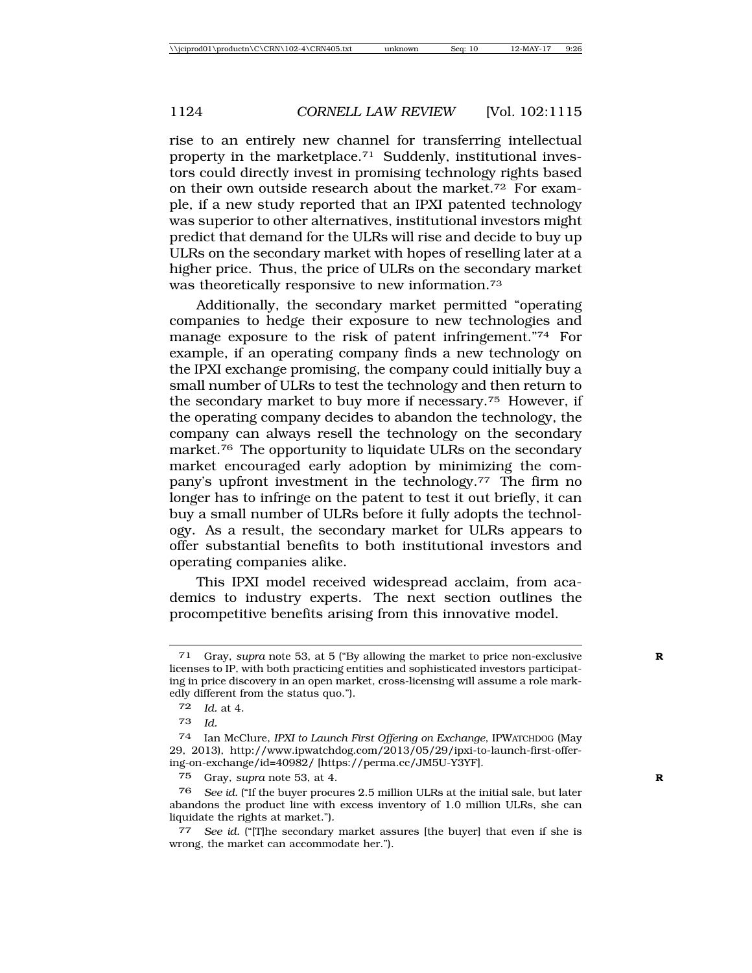rise to an entirely new channel for transferring intellectual property in the marketplace.<sup>71</sup> Suddenly, institutional investors could directly invest in promising technology rights based on their own outside research about the market.72 For example, if a new study reported that an IPXI patented technology was superior to other alternatives, institutional investors might predict that demand for the ULRs will rise and decide to buy up ULRs on the secondary market with hopes of reselling later at a higher price. Thus, the price of ULRs on the secondary market was theoretically responsive to new information.<sup>73</sup>

Additionally, the secondary market permitted "operating companies to hedge their exposure to new technologies and manage exposure to the risk of patent infringement."74 For example, if an operating company finds a new technology on the IPXI exchange promising, the company could initially buy a small number of ULRs to test the technology and then return to the secondary market to buy more if necessary.75 However, if the operating company decides to abandon the technology, the company can always resell the technology on the secondary market.76 The opportunity to liquidate ULRs on the secondary market encouraged early adoption by minimizing the company's upfront investment in the technology.77 The firm no longer has to infringe on the patent to test it out briefly, it can buy a small number of ULRs before it fully adopts the technology. As a result, the secondary market for ULRs appears to offer substantial benefits to both institutional investors and operating companies alike.

This IPXI model received widespread acclaim, from academics to industry experts. The next section outlines the procompetitive benefits arising from this innovative model.

<sup>71</sup> Gray, *supra* note 53, at 5 ("By allowing the market to price non-exclusive **R** licenses to IP, with both practicing entities and sophisticated investors participating in price discovery in an open market, cross-licensing will assume a role markedly different from the status quo.").

<sup>72</sup> *Id.* at 4.

<sup>73</sup> *Id.*

<sup>74</sup> Ian McClure, *IPXI to Launch First Offering on Exchange*, IPWATCHDOG (May 29, 2013), http://www.ipwatchdog.com/2013/05/29/ipxi-to-launch-first-offering-on-exchange/id=40982/ [https://perma.cc/JM5U-Y3YF].

<sup>75</sup> Gray, *supra* note 53, at 4. **R**

<sup>76</sup> *See id.* ("If the buyer procures 2.5 million ULRs at the initial sale, but later abandons the product line with excess inventory of 1.0 million ULRs, she can liquidate the rights at market.")*.*

<sup>77</sup> *See id.* ("[T]he secondary market assures [the buyer] that even if she is wrong, the market can accommodate her.").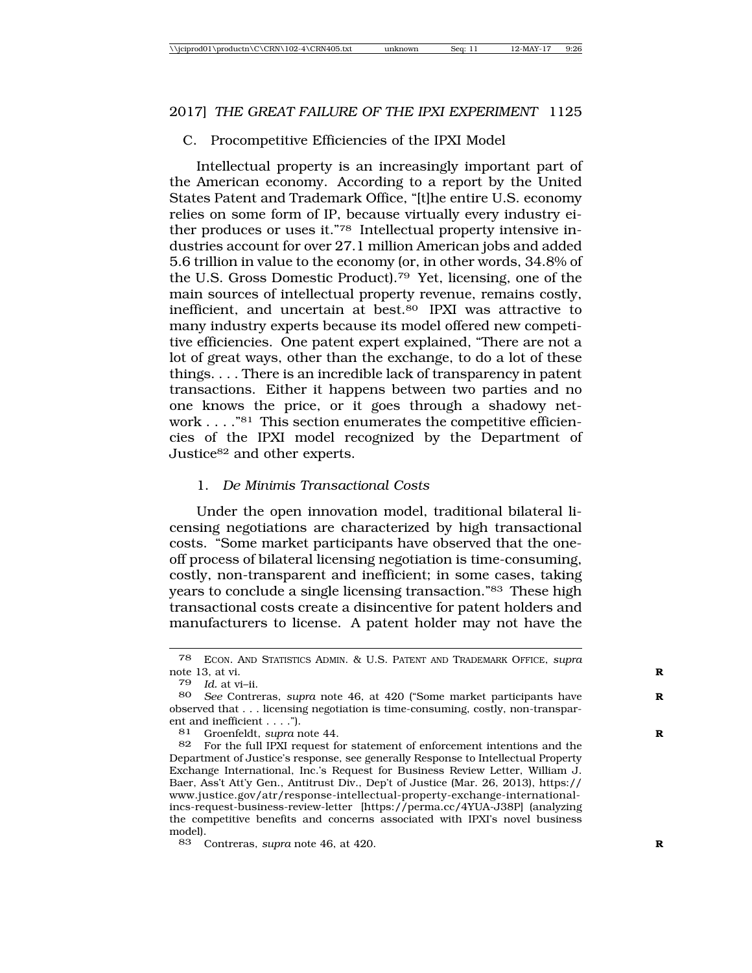#### C. Procompetitive Efficiencies of the IPXI Model

Intellectual property is an increasingly important part of the American economy. According to a report by the United States Patent and Trademark Office, "[t]he entire U.S. economy relies on some form of IP, because virtually every industry either produces or uses it."78 Intellectual property intensive industries account for over 27.1 million American jobs and added 5.6 trillion in value to the economy (or, in other words, 34.8% of the U.S. Gross Domestic Product).79 Yet, licensing, one of the main sources of intellectual property revenue, remains costly, inefficient, and uncertain at best.80 IPXI was attractive to many industry experts because its model offered new competitive efficiencies. One patent expert explained, "There are not a lot of great ways, other than the exchange, to do a lot of these things. . . . There is an incredible lack of transparency in patent transactions. Either it happens between two parties and no one knows the price, or it goes through a shadowy network . . . . "<sup>81</sup> This section enumerates the competitive efficiencies of the IPXI model recognized by the Department of Justice82 and other experts.

#### 1. *De Minimis Transactional Costs*

Under the open innovation model, traditional bilateral licensing negotiations are characterized by high transactional costs. "Some market participants have observed that the oneoff process of bilateral licensing negotiation is time-consuming, costly, non-transparent and inefficient; in some cases, taking years to conclude a single licensing transaction."83 These high transactional costs create a disincentive for patent holders and manufacturers to license. A patent holder may not have the

<sup>78</sup> ECON. AND STATISTICS ADMIN. & U.S. PATENT AND TRADEMARK OFFICE, *supra* note 13, at vi. **R**

<sup>79</sup> *Id.* at vi–ii.

See Contreras, *supra* note 46, at 420 ("Some market participants have observed that . . . licensing negotiation is time-consuming, costly, non-transparent and inefficient  $\dots$ .").<br>81 Groenfeldt sunra r

Groenfeldt, *supra* note 44.

<sup>82</sup> For the full IPXI request for statement of enforcement intentions and the Department of Justice's response, see generally Response to Intellectual Property Exchange International, Inc.'s Request for Business Review Letter, William J. Baer, Ass't Att'y Gen., Antitrust Div., Dep't of Justice (Mar. 26, 2013), https:// www.justice.gov/atr/response-intellectual-property-exchange-internationalincs-request-business-review-letter [https://perma.cc/4YUA-J38P] (analyzing the competitive benefits and concerns associated with IPXI's novel business model).

<sup>83</sup> Contreras, *supra* note 46, at 420. **R**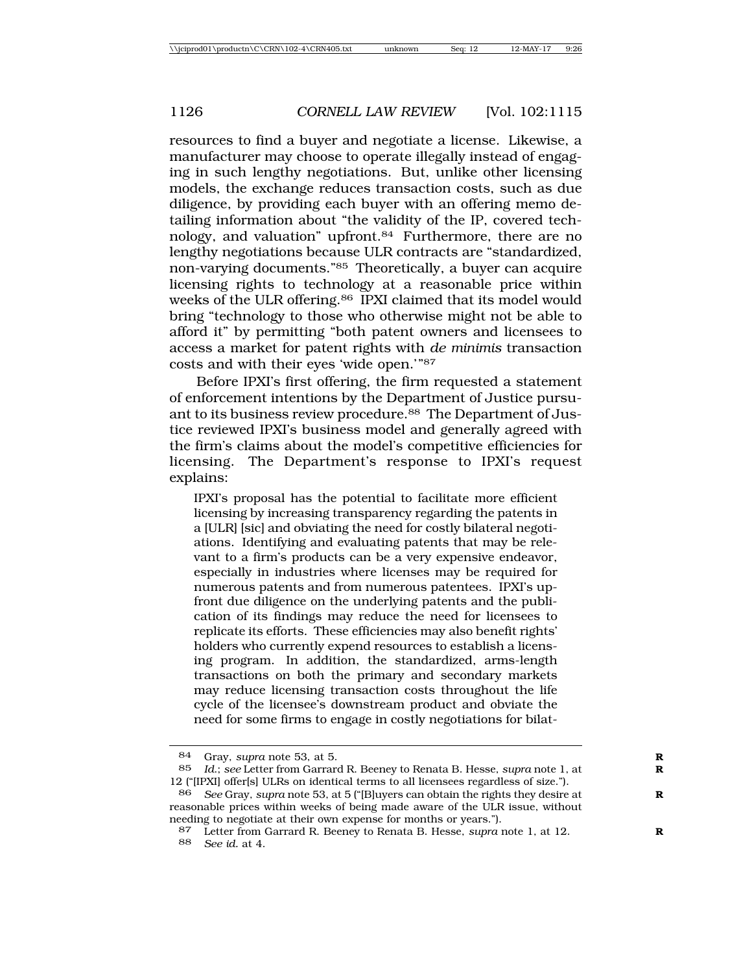resources to find a buyer and negotiate a license. Likewise, a manufacturer may choose to operate illegally instead of engaging in such lengthy negotiations. But, unlike other licensing models, the exchange reduces transaction costs, such as due diligence, by providing each buyer with an offering memo detailing information about "the validity of the IP, covered technology, and valuation" upfront.84 Furthermore, there are no lengthy negotiations because ULR contracts are "standardized, non-varying documents."85 Theoretically, a buyer can acquire licensing rights to technology at a reasonable price within weeks of the ULR offering.<sup>86</sup> IPXI claimed that its model would bring "technology to those who otherwise might not be able to afford it" by permitting "both patent owners and licensees to access a market for patent rights with *de minimis* transaction costs and with their eyes 'wide open.'"87

Before IPXI's first offering, the firm requested a statement of enforcement intentions by the Department of Justice pursuant to its business review procedure.<sup>88</sup> The Department of Justice reviewed IPXI's business model and generally agreed with the firm's claims about the model's competitive efficiencies for licensing. The Department's response to IPXI's request explains:

IPXI's proposal has the potential to facilitate more efficient licensing by increasing transparency regarding the patents in a [ULR] [sic] and obviating the need for costly bilateral negotiations. Identifying and evaluating patents that may be relevant to a firm's products can be a very expensive endeavor, especially in industries where licenses may be required for numerous patents and from numerous patentees. IPXI's upfront due diligence on the underlying patents and the publication of its findings may reduce the need for licensees to replicate its efforts. These efficiencies may also benefit rights' holders who currently expend resources to establish a licensing program. In addition, the standardized, arms-length transactions on both the primary and secondary markets may reduce licensing transaction costs throughout the life cycle of the licensee's downstream product and obviate the need for some firms to engage in costly negotiations for bilat-

<sup>84</sup> Gray, *supra* note 53, at 5.<br>85  $Id \cdot \text{see}$  Letter from Garrar.

<sup>1</sup>d.; see Letter from Garrard R. Beeney to Renata B. Hesse, *supra* note 1, at 12 ("[IPXI] offer[s] ULRs on identical terms to all licensees regardless of size.").<br>86 See Gray, sung note 53, at 5 ("[Bluvers can obtain the rights they desire

<sup>86</sup> *See* Gray, *supra* note 53, at 5 ("[B]uyers can obtain the rights they desire at **R** reasonable prices within weeks of being made aware of the ULR issue, without needing to negotiate at their own expense for months or years.").

<sup>87</sup> Letter from Garrard R. Beeney to Renata B. Hesse, *supra* note 1, at 12. **R** 88 *See id.* at 4.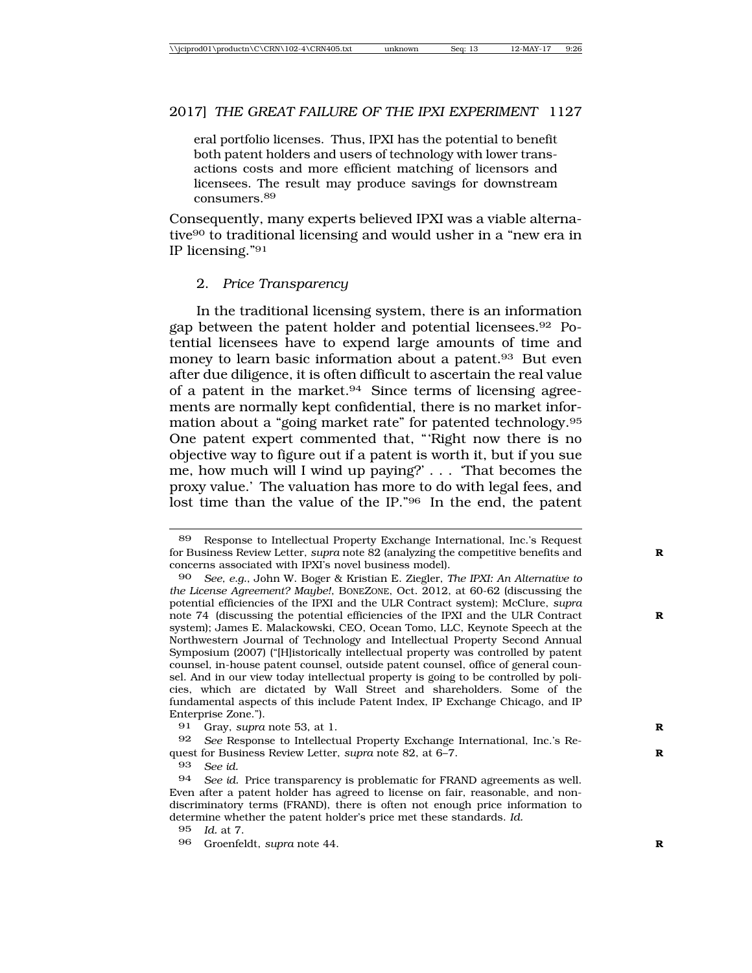eral portfolio licenses. Thus, IPXI has the potential to benefit both patent holders and users of technology with lower transactions costs and more efficient matching of licensors and licensees. The result may produce savings for downstream consumers.<sup>89</sup>

Consequently, many experts believed IPXI was a viable alternative90 to traditional licensing and would usher in a "new era in IP licensing."91

#### 2. *Price Transparency*

In the traditional licensing system, there is an information gap between the patent holder and potential licensees.92 Potential licensees have to expend large amounts of time and money to learn basic information about a patent.<sup>93</sup> But even after due diligence, it is often difficult to ascertain the real value of a patent in the market.94 Since terms of licensing agreements are normally kept confidential, there is no market information about a "going market rate" for patented technology.95 One patent expert commented that, "'Right now there is no objective way to figure out if a patent is worth it, but if you sue me, how much will I wind up paying?' . . . 'That becomes the proxy value.' The valuation has more to do with legal fees, and lost time than the value of the IP."96 In the end, the patent

<sup>89</sup> Response to Intellectual Property Exchange International, Inc.'s Request for Business Review Letter, *supra* note 82 (analyzing the competitive benefits and **R** concerns associated with IPXI's novel business model).

<sup>90</sup> *See, e.g.*, John W. Boger & Kristian E. Ziegler, *The IPXI: An Alternative to the License Agreement? Maybe!*, BONEZONE, Oct. 2012, at 60-62 (discussing the potential efficiencies of the IPXI and the ULR Contract system); McClure, *supra* note 74 (discussing the potential efficiencies of the IPXI and the ULR Contract **R** system); James E. Malackowski, CEO, Ocean Tomo, LLC, Keynote Speech at the Northwestern Journal of Technology and Intellectual Property Second Annual Symposium (2007) ("[H]istorically intellectual property was controlled by patent counsel, in-house patent counsel, outside patent counsel, office of general counsel. And in our view today intellectual property is going to be controlled by policies, which are dictated by Wall Street and shareholders. Some of the fundamental aspects of this include Patent Index, IP Exchange Chicago, and IP Enterprise Zone.").

<sup>91</sup> Gray, *supra* note 53, at 1. **R**

<sup>92</sup> *See* Response to Intellectual Property Exchange International, Inc.'s Request for Business Review Letter, *supra* note 82, at 6–7. **R**

<sup>93</sup> *See id.*

<sup>94</sup> *See id.* Price transparency is problematic for FRAND agreements as well. Even after a patent holder has agreed to license on fair, reasonable, and nondiscriminatory terms (FRAND), there is often not enough price information to determine whether the patent holder's price met these standards. *Id.*

<sup>95</sup> *Id.* at 7.

<sup>96</sup> Groenfeldt, *supra* note 44. **R**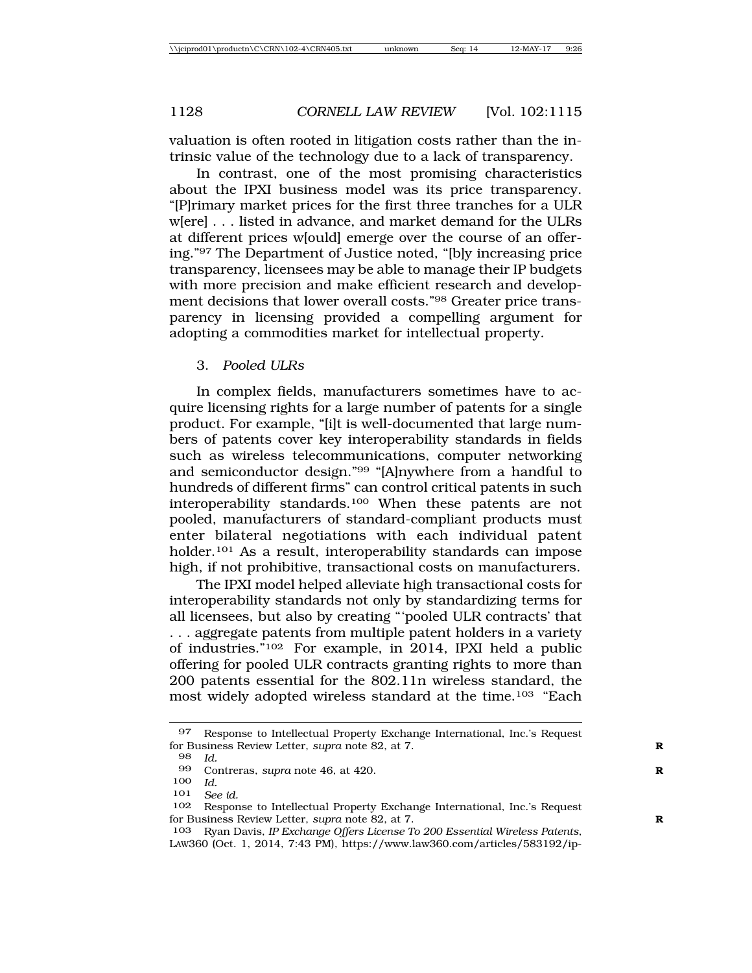valuation is often rooted in litigation costs rather than the intrinsic value of the technology due to a lack of transparency.

In contrast, one of the most promising characteristics about the IPXI business model was its price transparency. "[P]rimary market prices for the first three tranches for a ULR w[ere] . . . listed in advance, and market demand for the ULRs at different prices w[ould] emerge over the course of an offering."97 The Department of Justice noted, "[b]y increasing price transparency, licensees may be able to manage their IP budgets with more precision and make efficient research and development decisions that lower overall costs."98 Greater price transparency in licensing provided a compelling argument for adopting a commodities market for intellectual property.

#### 3. *Pooled ULRs*

In complex fields, manufacturers sometimes have to acquire licensing rights for a large number of patents for a single product. For example, "[i]t is well-documented that large numbers of patents cover key interoperability standards in fields such as wireless telecommunications, computer networking and semiconductor design."99 "[A]nywhere from a handful to hundreds of different firms" can control critical patents in such interoperability standards.100 When these patents are not pooled, manufacturers of standard-compliant products must enter bilateral negotiations with each individual patent holder.<sup>101</sup> As a result, interoperability standards can impose high, if not prohibitive, transactional costs on manufacturers.

The IPXI model helped alleviate high transactional costs for interoperability standards not only by standardizing terms for all licensees, but also by creating "'pooled ULR contracts' that . . . aggregate patents from multiple patent holders in a variety of industries."102 For example, in 2014, IPXI held a public offering for pooled ULR contracts granting rights to more than 200 patents essential for the 802.11n wireless standard, the most widely adopted wireless standard at the time.103 "Each

101 *See id.*

<sup>97</sup> Response to Intellectual Property Exchange International, Inc.'s Request for Business Review Letter, *supra* note 82, at 7.

<sup>98</sup> *Id.*

Contreras, *supra* note 46, at 420.

<sup>100</sup> *Id.*

Response to Intellectual Property Exchange International, Inc.'s Request for Business Review Letter, *supra* note 82, at 7.

<sup>103</sup> Ryan Davis, *IP Exchange Offers License To 200 Essential Wireless Patents*, LAW360 (Oct. 1, 2014, 7:43 PM), https://www.law360.com/articles/583192/ip-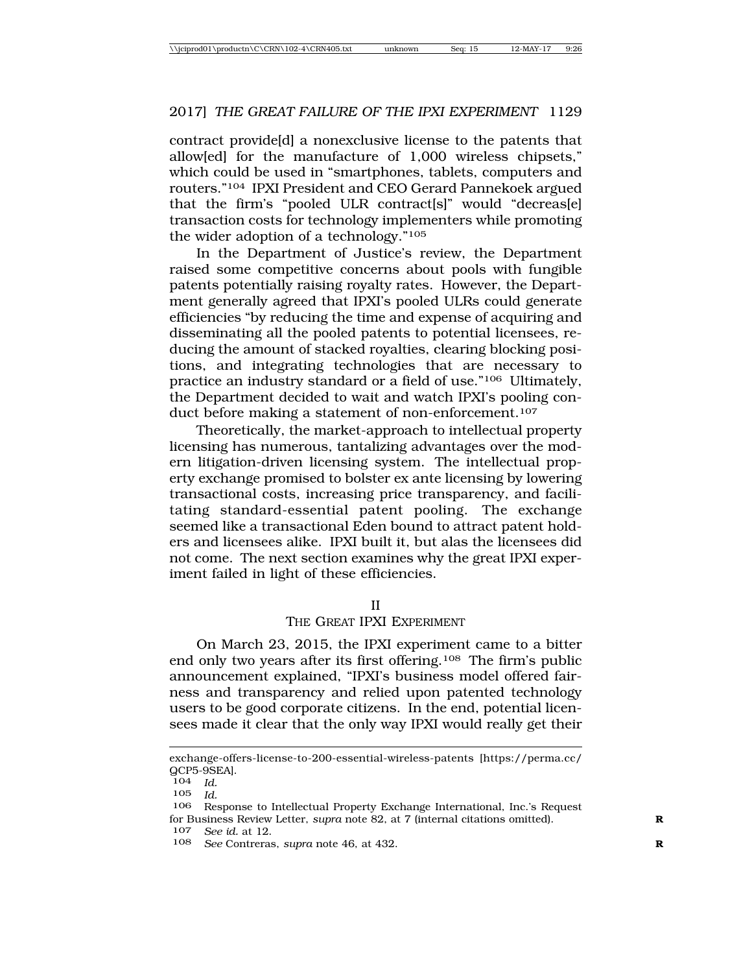contract provide[d] a nonexclusive license to the patents that allow[ed] for the manufacture of 1,000 wireless chipsets," which could be used in "smartphones, tablets, computers and routers."104 IPXI President and CEO Gerard Pannekoek argued that the firm's "pooled ULR contract[s]" would "decreas[e] transaction costs for technology implementers while promoting the wider adoption of a technology."105

In the Department of Justice's review, the Department raised some competitive concerns about pools with fungible patents potentially raising royalty rates. However, the Department generally agreed that IPXI's pooled ULRs could generate efficiencies "by reducing the time and expense of acquiring and disseminating all the pooled patents to potential licensees, reducing the amount of stacked royalties, clearing blocking positions, and integrating technologies that are necessary to practice an industry standard or a field of use."106 Ultimately, the Department decided to wait and watch IPXI's pooling conduct before making a statement of non-enforcement.<sup>107</sup>

Theoretically, the market-approach to intellectual property licensing has numerous, tantalizing advantages over the modern litigation-driven licensing system. The intellectual property exchange promised to bolster ex ante licensing by lowering transactional costs, increasing price transparency, and facilitating standard-essential patent pooling. The exchange seemed like a transactional Eden bound to attract patent holders and licensees alike. IPXI built it, but alas the licensees did not come. The next section examines why the great IPXI experiment failed in light of these efficiencies.

#### II

#### THE GREAT IPXI EXPERIMENT

On March 23, 2015, the IPXI experiment came to a bitter end only two years after its first offering.108 The firm's public announcement explained, "IPXI's business model offered fairness and transparency and relied upon patented technology users to be good corporate citizens. In the end, potential licensees made it clear that the only way IPXI would really get their

exchange-offers-license-to-200-essential-wireless-patents [https://perma.cc/  $QCP5-9SEA$ ].<br> $104$   $Id$ .

<sup>104</sup> *Id.*

<sup>105</sup> *Id.*

Response to Intellectual Property Exchange International, Inc.'s Request for Business Review Letter, *supra* note 82, at 7 (internal citations omitted). **R**

<sup>107</sup> *See id.* at 12.

<sup>108</sup> *See* Contreras, *supra* note 46, at 432. **R**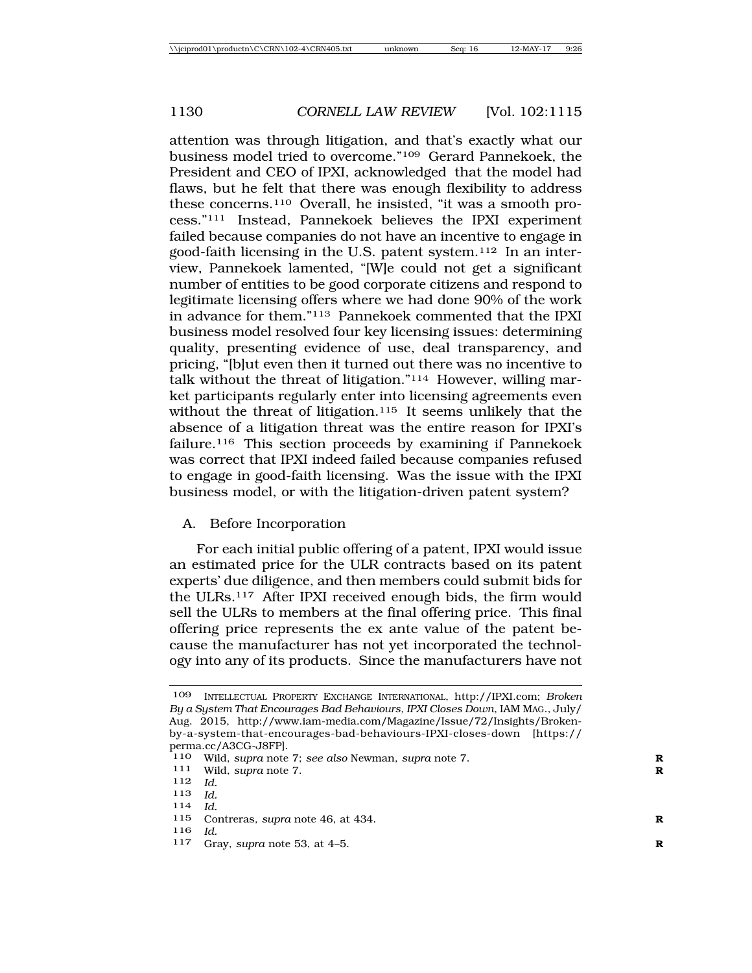attention was through litigation, and that's exactly what our business model tried to overcome."109 Gerard Pannekoek, the President and CEO of IPXI, acknowledged that the model had flaws, but he felt that there was enough flexibility to address these concerns.110 Overall, he insisted, "it was a smooth process."111 Instead, Pannekoek believes the IPXI experiment failed because companies do not have an incentive to engage in good-faith licensing in the U.S. patent system.112 In an interview, Pannekoek lamented, "[W]e could not get a significant number of entities to be good corporate citizens and respond to legitimate licensing offers where we had done 90% of the work in advance for them."113 Pannekoek commented that the IPXI business model resolved four key licensing issues: determining quality, presenting evidence of use, deal transparency, and pricing, "[b]ut even then it turned out there was no incentive to talk without the threat of litigation."114 However, willing market participants regularly enter into licensing agreements even without the threat of litigation.<sup>115</sup> It seems unlikely that the absence of a litigation threat was the entire reason for IPXI's failure.116 This section proceeds by examining if Pannekoek was correct that IPXI indeed failed because companies refused to engage in good-faith licensing. Was the issue with the IPXI business model, or with the litigation-driven patent system?

## A. Before Incorporation

For each initial public offering of a patent, IPXI would issue an estimated price for the ULR contracts based on its patent experts' due diligence, and then members could submit bids for the ULRs.117 After IPXI received enough bids, the firm would sell the ULRs to members at the final offering price. This final offering price represents the ex ante value of the patent because the manufacturer has not yet incorporated the technology into any of its products. Since the manufacturers have not

- <sup>113</sup> *Id.* <sup>114</sup> *Id.*
- 
- 115 Contreras, *supra* note 46, at 434. **R**
- 
- <sup>116</sup> *Id.* <sup>117</sup> Gray, *supra* note 53, at 4–5. **<sup>R</sup>**

<sup>109</sup> INTELLECTUAL PROPERTY EXCHANGE INTERNATIONAL, http://IPXI.com; *Broken By a System That Encourages Bad Behaviours, IPXI Closes Down*, IAM MAG., July/ Aug. 2015, http://www.iam-media.com/Magazine/Issue/72/Insights/Brokenby-a-system-that-encourages-bad-behaviours-IPXI-closes-down [https:// perma.cc/A3CG-J8FP].

<sup>110</sup> Wild, *supra* note 7; *see also* Newman, *supra* note 7. **R**

Wild, *supra* note 7.

<sup>112</sup> *Id.*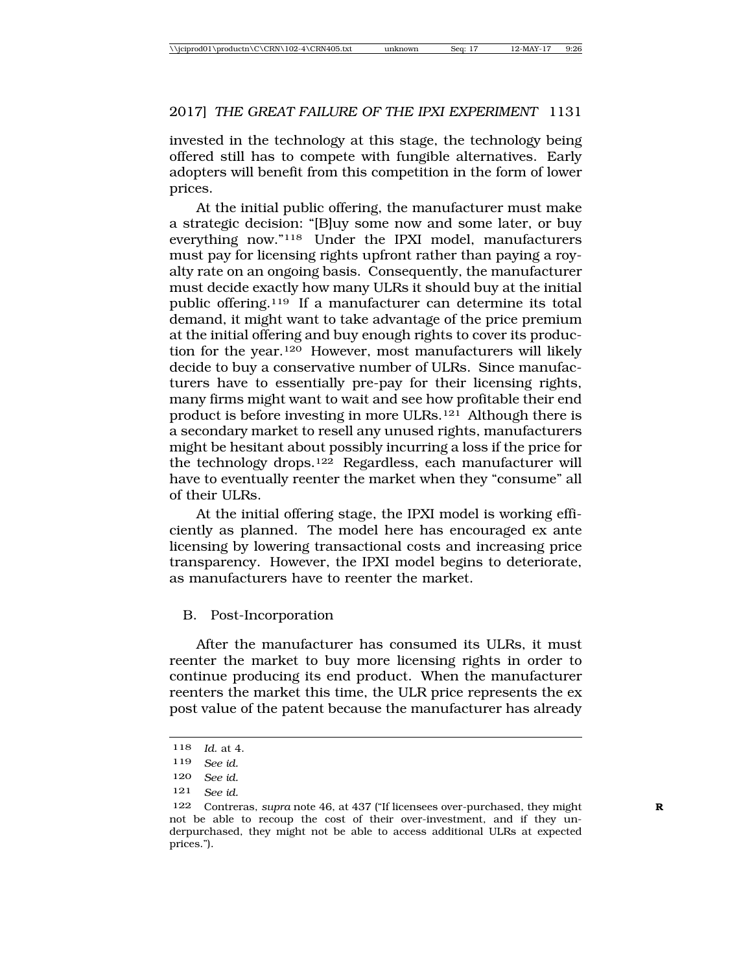invested in the technology at this stage, the technology being offered still has to compete with fungible alternatives. Early adopters will benefit from this competition in the form of lower prices.

At the initial public offering, the manufacturer must make a strategic decision: "[B]uy some now and some later, or buy everything now."118 Under the IPXI model, manufacturers must pay for licensing rights upfront rather than paying a royalty rate on an ongoing basis. Consequently, the manufacturer must decide exactly how many ULRs it should buy at the initial public offering.119 If a manufacturer can determine its total demand, it might want to take advantage of the price premium at the initial offering and buy enough rights to cover its production for the year.120 However, most manufacturers will likely decide to buy a conservative number of ULRs. Since manufacturers have to essentially pre-pay for their licensing rights, many firms might want to wait and see how profitable their end product is before investing in more ULRs.121 Although there is a secondary market to resell any unused rights, manufacturers might be hesitant about possibly incurring a loss if the price for the technology drops.122 Regardless, each manufacturer will have to eventually reenter the market when they "consume" all of their ULRs.

At the initial offering stage, the IPXI model is working efficiently as planned. The model here has encouraged ex ante licensing by lowering transactional costs and increasing price transparency. However, the IPXI model begins to deteriorate, as manufacturers have to reenter the market.

## B. Post-Incorporation

After the manufacturer has consumed its ULRs, it must reenter the market to buy more licensing rights in order to continue producing its end product. When the manufacturer reenters the market this time, the ULR price represents the ex post value of the patent because the manufacturer has already

<sup>118</sup> *Id*. at 4.

<sup>119</sup> *See id.*

<sup>120</sup> *See id.*

<sup>121</sup> *See id.*

<sup>122</sup> Contreras, *supra* note 46, at 437 ("If licensees over-purchased, they might **R** not be able to recoup the cost of their over-investment, and if they underpurchased, they might not be able to access additional ULRs at expected prices.").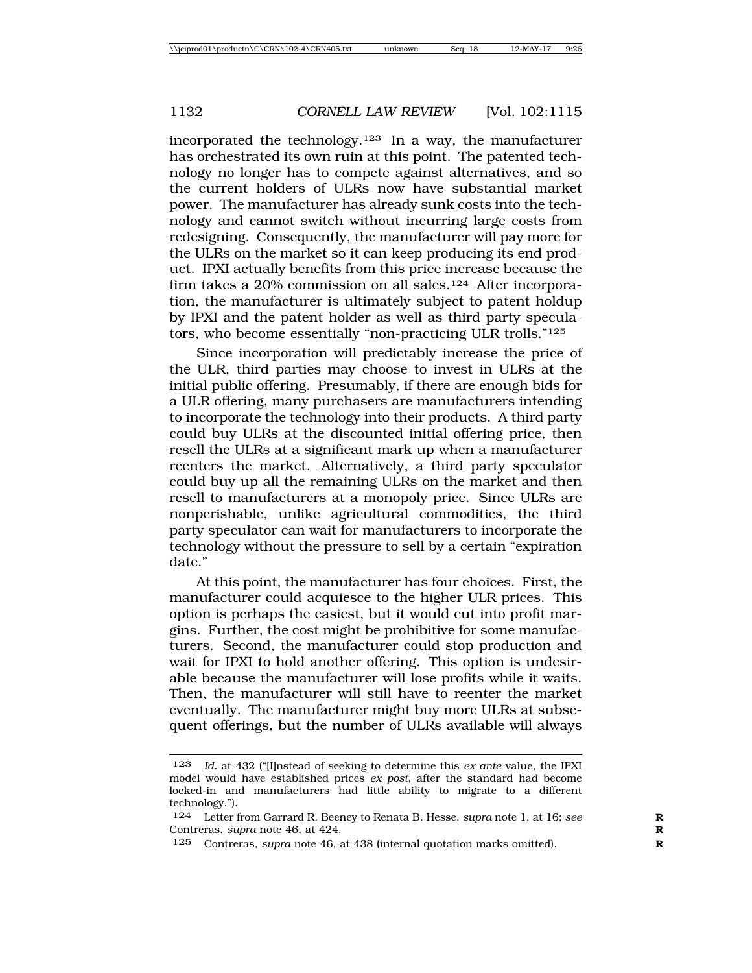incorporated the technology.<sup>123</sup> In a way, the manufacturer has orchestrated its own ruin at this point. The patented technology no longer has to compete against alternatives, and so the current holders of ULRs now have substantial market power. The manufacturer has already sunk costs into the technology and cannot switch without incurring large costs from redesigning. Consequently, the manufacturer will pay more for the ULRs on the market so it can keep producing its end product. IPXI actually benefits from this price increase because the firm takes a 20% commission on all sales.<sup>124</sup> After incorporation, the manufacturer is ultimately subject to patent holdup by IPXI and the patent holder as well as third party speculators, who become essentially "non-practicing ULR trolls."125

Since incorporation will predictably increase the price of the ULR, third parties may choose to invest in ULRs at the initial public offering. Presumably, if there are enough bids for a ULR offering, many purchasers are manufacturers intending to incorporate the technology into their products. A third party could buy ULRs at the discounted initial offering price, then resell the ULRs at a significant mark up when a manufacturer reenters the market. Alternatively, a third party speculator could buy up all the remaining ULRs on the market and then resell to manufacturers at a monopoly price. Since ULRs are nonperishable, unlike agricultural commodities, the third party speculator can wait for manufacturers to incorporate the technology without the pressure to sell by a certain "expiration date."

At this point, the manufacturer has four choices. First, the manufacturer could acquiesce to the higher ULR prices. This option is perhaps the easiest, but it would cut into profit margins. Further, the cost might be prohibitive for some manufacturers. Second, the manufacturer could stop production and wait for IPXI to hold another offering. This option is undesirable because the manufacturer will lose profits while it waits. Then, the manufacturer will still have to reenter the market eventually. The manufacturer might buy more ULRs at subsequent offerings, but the number of ULRs available will always

<sup>123</sup> *Id.* at 432 ("[I]nstead of seeking to determine this *ex ante* value, the IPXI model would have established prices *ex post*, after the standard had become locked-in and manufacturers had little ability to migrate to a different technology.").

<sup>124</sup> Letter from Garrard R. Beeney to Renata B. Hesse, *supra* note 1, at 16; *see* Contreras, *supra* note 46, at 424. **R**

<sup>125</sup> Contreras, *supra* note 46, at 438 (internal quotation marks omitted). **R**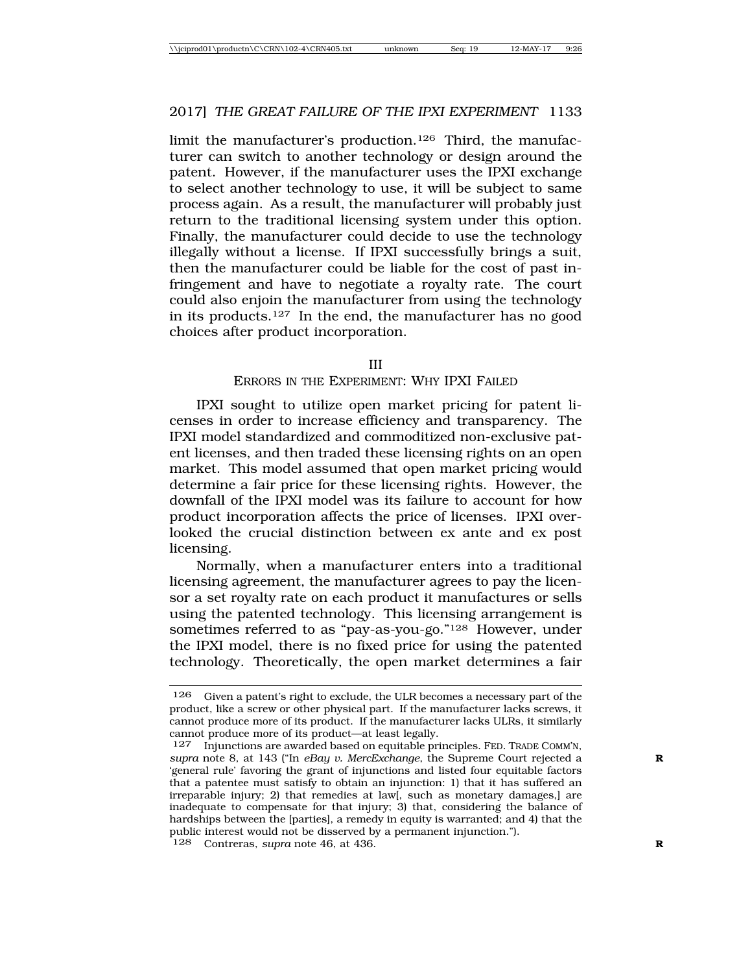limit the manufacturer's production.126 Third, the manufacturer can switch to another technology or design around the patent. However, if the manufacturer uses the IPXI exchange to select another technology to use, it will be subject to same process again. As a result, the manufacturer will probably just return to the traditional licensing system under this option. Finally, the manufacturer could decide to use the technology illegally without a license. If IPXI successfully brings a suit, then the manufacturer could be liable for the cost of past infringement and have to negotiate a royalty rate. The court could also enjoin the manufacturer from using the technology in its products.127 In the end, the manufacturer has no good choices after product incorporation.

#### III

#### ERRORS IN THE EXPERIMENT: WHY IPXI FAILED

IPXI sought to utilize open market pricing for patent licenses in order to increase efficiency and transparency. The IPXI model standardized and commoditized non-exclusive patent licenses, and then traded these licensing rights on an open market. This model assumed that open market pricing would determine a fair price for these licensing rights. However, the downfall of the IPXI model was its failure to account for how product incorporation affects the price of licenses. IPXI overlooked the crucial distinction between ex ante and ex post licensing.

Normally, when a manufacturer enters into a traditional licensing agreement, the manufacturer agrees to pay the licensor a set royalty rate on each product it manufactures or sells using the patented technology. This licensing arrangement is sometimes referred to as "pay-as-you-go."128 However, under the IPXI model, there is no fixed price for using the patented technology. Theoretically, the open market determines a fair

<sup>126</sup> Given a patent's right to exclude, the ULR becomes a necessary part of the product, like a screw or other physical part. If the manufacturer lacks screws, it cannot produce more of its product. If the manufacturer lacks ULRs, it similarly cannot produce more of its product—at least legally.

<sup>127</sup> Injunctions are awarded based on equitable principles. FED. TRADE COMM'N, *supra* note 8, at 143 ("In *eBay v. MercExchange*, the Supreme Court rejected a **R** 'general rule' favoring the grant of injunctions and listed four equitable factors that a patentee must satisfy to obtain an injunction: 1) that it has suffered an irreparable injury; 2) that remedies at law[, such as monetary damages,] are inadequate to compensate for that injury; 3) that, considering the balance of hardships between the [parties], a remedy in equity is warranted; and 4) that the public interest would not be disserved by a permanent injunction."). 128 Contreras, *supra* note 46, at 436.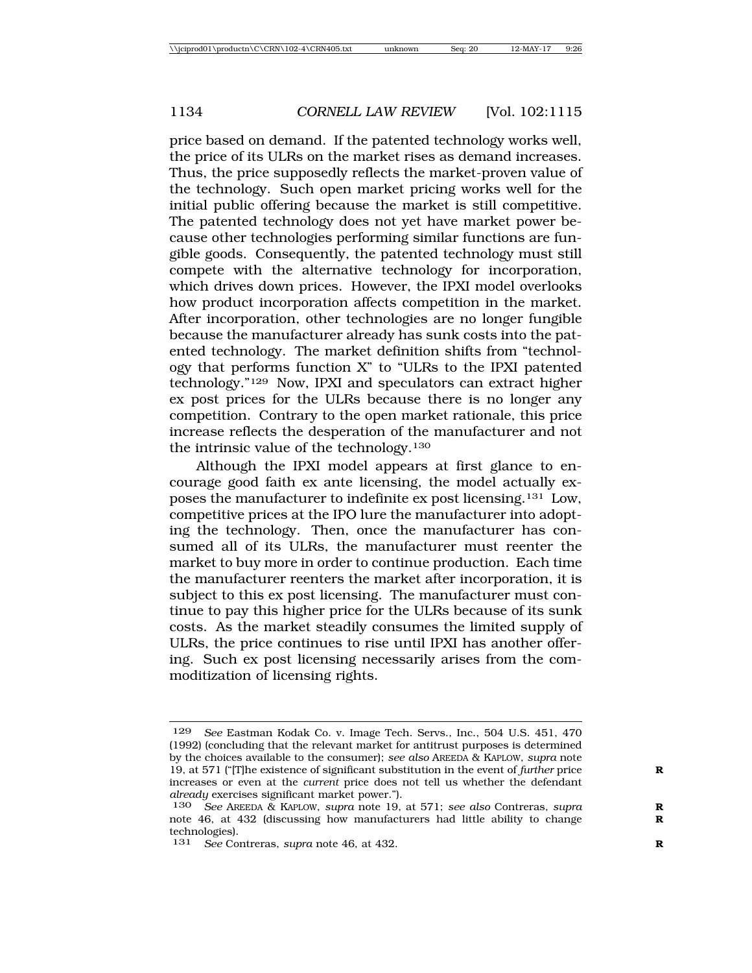price based on demand. If the patented technology works well, the price of its ULRs on the market rises as demand increases. Thus, the price supposedly reflects the market-proven value of the technology. Such open market pricing works well for the initial public offering because the market is still competitive. The patented technology does not yet have market power because other technologies performing similar functions are fungible goods. Consequently, the patented technology must still compete with the alternative technology for incorporation, which drives down prices. However, the IPXI model overlooks how product incorporation affects competition in the market. After incorporation, other technologies are no longer fungible because the manufacturer already has sunk costs into the patented technology. The market definition shifts from "technology that performs function X" to "ULRs to the IPXI patented technology."129 Now, IPXI and speculators can extract higher ex post prices for the ULRs because there is no longer any competition. Contrary to the open market rationale, this price increase reflects the desperation of the manufacturer and not the intrinsic value of the technology.130

Although the IPXI model appears at first glance to encourage good faith ex ante licensing, the model actually exposes the manufacturer to indefinite ex post licensing.131 Low, competitive prices at the IPO lure the manufacturer into adopting the technology. Then, once the manufacturer has consumed all of its ULRs, the manufacturer must reenter the market to buy more in order to continue production. Each time the manufacturer reenters the market after incorporation, it is subject to this ex post licensing. The manufacturer must continue to pay this higher price for the ULRs because of its sunk costs. As the market steadily consumes the limited supply of ULRs, the price continues to rise until IPXI has another offering. Such ex post licensing necessarily arises from the commoditization of licensing rights.

<sup>129</sup> *See* Eastman Kodak Co. v. Image Tech. Servs., Inc., 504 U.S. 451, 470 (1992) (concluding that the relevant market for antitrust purposes is determined by the choices available to the consumer); *see also* AREEDA & KAPLOW, *supra* note 19, at 571 ("[T]he existence of significant substitution in the event of *further* price **R** increases or even at the *current* price does not tell us whether the defendant *already* exercises significant market power.").

<sup>130</sup> *See* AREEDA & KAPLOW, *supra* note 19, at 571; *see also* Contreras, *supra* **R** note 46, at 432 (discussing how manufacturers had little ability to change technologies).

<sup>131</sup> *See* Contreras, *supra* note 46, at 432.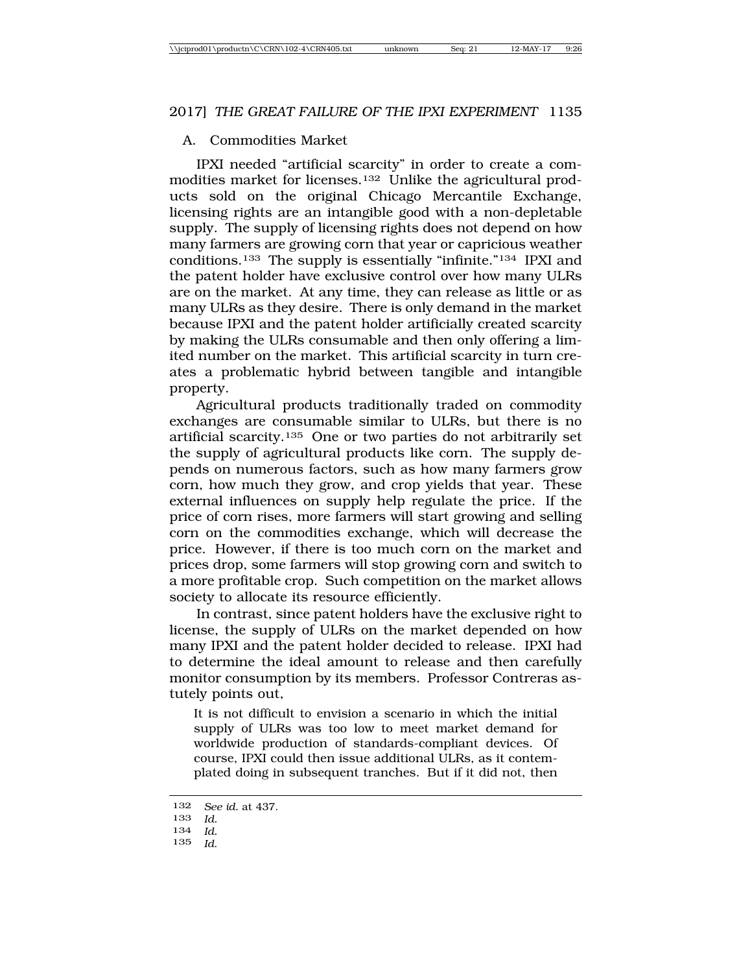## A. Commodities Market

IPXI needed "artificial scarcity" in order to create a commodities market for licenses.132 Unlike the agricultural products sold on the original Chicago Mercantile Exchange, licensing rights are an intangible good with a non-depletable supply. The supply of licensing rights does not depend on how many farmers are growing corn that year or capricious weather conditions.133 The supply is essentially "infinite."134 IPXI and the patent holder have exclusive control over how many ULRs are on the market. At any time, they can release as little or as many ULRs as they desire. There is only demand in the market because IPXI and the patent holder artificially created scarcity by making the ULRs consumable and then only offering a limited number on the market. This artificial scarcity in turn creates a problematic hybrid between tangible and intangible property.

Agricultural products traditionally traded on commodity exchanges are consumable similar to ULRs, but there is no artificial scarcity.135 One or two parties do not arbitrarily set the supply of agricultural products like corn. The supply depends on numerous factors, such as how many farmers grow corn, how much they grow, and crop yields that year. These external influences on supply help regulate the price. If the price of corn rises, more farmers will start growing and selling corn on the commodities exchange, which will decrease the price. However, if there is too much corn on the market and prices drop, some farmers will stop growing corn and switch to a more profitable crop. Such competition on the market allows society to allocate its resource efficiently.

In contrast, since patent holders have the exclusive right to license, the supply of ULRs on the market depended on how many IPXI and the patent holder decided to release. IPXI had to determine the ideal amount to release and then carefully monitor consumption by its members. Professor Contreras astutely points out,

It is not difficult to envision a scenario in which the initial supply of ULRs was too low to meet market demand for worldwide production of standards-compliant devices. Of course, IPXI could then issue additional ULRs, as it contemplated doing in subsequent tranches. But if it did not, then

<sup>132</sup> *See id.* at 437.

<sup>133</sup> *Id.*

<sup>134</sup> *Id.*

<sup>135</sup> *Id*.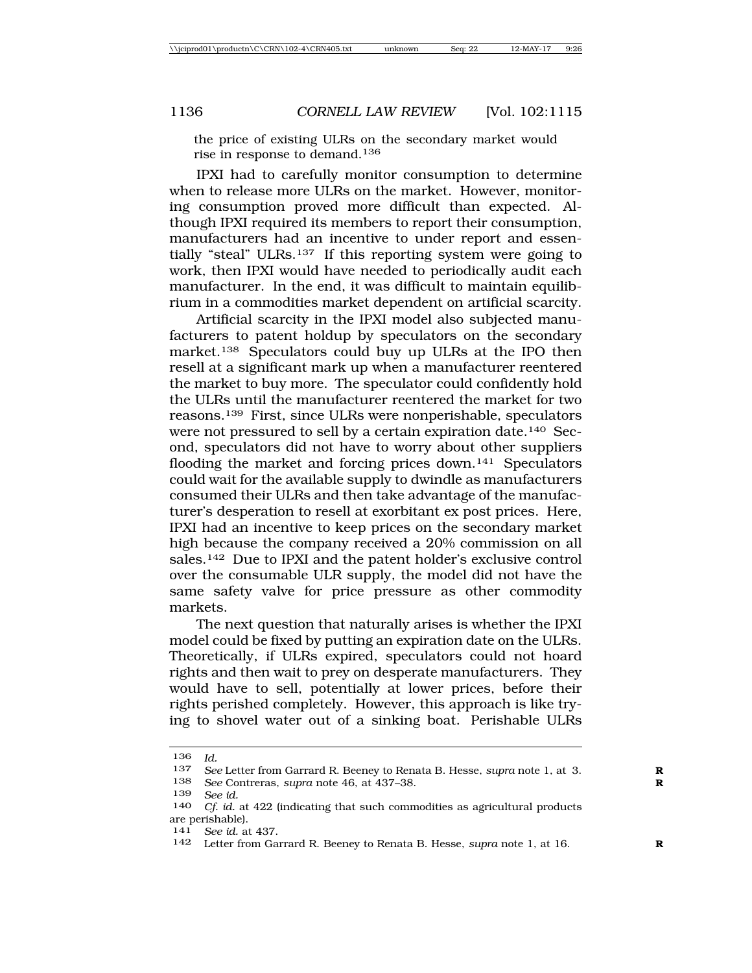the price of existing ULRs on the secondary market would rise in response to demand.136

IPXI had to carefully monitor consumption to determine when to release more ULRs on the market. However, monitoring consumption proved more difficult than expected. Although IPXI required its members to report their consumption, manufacturers had an incentive to under report and essentially "steal" ULRs.137 If this reporting system were going to work, then IPXI would have needed to periodically audit each manufacturer. In the end, it was difficult to maintain equilibrium in a commodities market dependent on artificial scarcity.

Artificial scarcity in the IPXI model also subjected manufacturers to patent holdup by speculators on the secondary market.<sup>138</sup> Speculators could buy up ULRs at the IPO then resell at a significant mark up when a manufacturer reentered the market to buy more. The speculator could confidently hold the ULRs until the manufacturer reentered the market for two reasons.139 First, since ULRs were nonperishable, speculators were not pressured to sell by a certain expiration date.<sup>140</sup> Second, speculators did not have to worry about other suppliers flooding the market and forcing prices down.<sup>141</sup> Speculators could wait for the available supply to dwindle as manufacturers consumed their ULRs and then take advantage of the manufacturer's desperation to resell at exorbitant ex post prices. Here, IPXI had an incentive to keep prices on the secondary market high because the company received a 20% commission on all sales.142 Due to IPXI and the patent holder's exclusive control over the consumable ULR supply, the model did not have the same safety valve for price pressure as other commodity markets.

The next question that naturally arises is whether the IPXI model could be fixed by putting an expiration date on the ULRs. Theoretically, if ULRs expired, speculators could not hoard rights and then wait to prey on desperate manufacturers. They would have to sell, potentially at lower prices, before their rights perished completely. However, this approach is like trying to shovel water out of a sinking boat. Perishable ULRs

<sup>136</sup> *Id.*

<sup>137</sup> *See* Letter from Garrard R. Beeney to Renata B. Hesse, *supra* note 1, at 3. **R**

See Contreras, *supra* note 46, at 437-38.

<sup>139</sup> *See id.*

Cf. id. at 422 (indicating that such commodities as agricultural products are perishable).

<sup>141</sup> *See id.* at 437.

<sup>142</sup> Letter from Garrard R. Beeney to Renata B. Hesse, *supra* note 1, at 16. **R**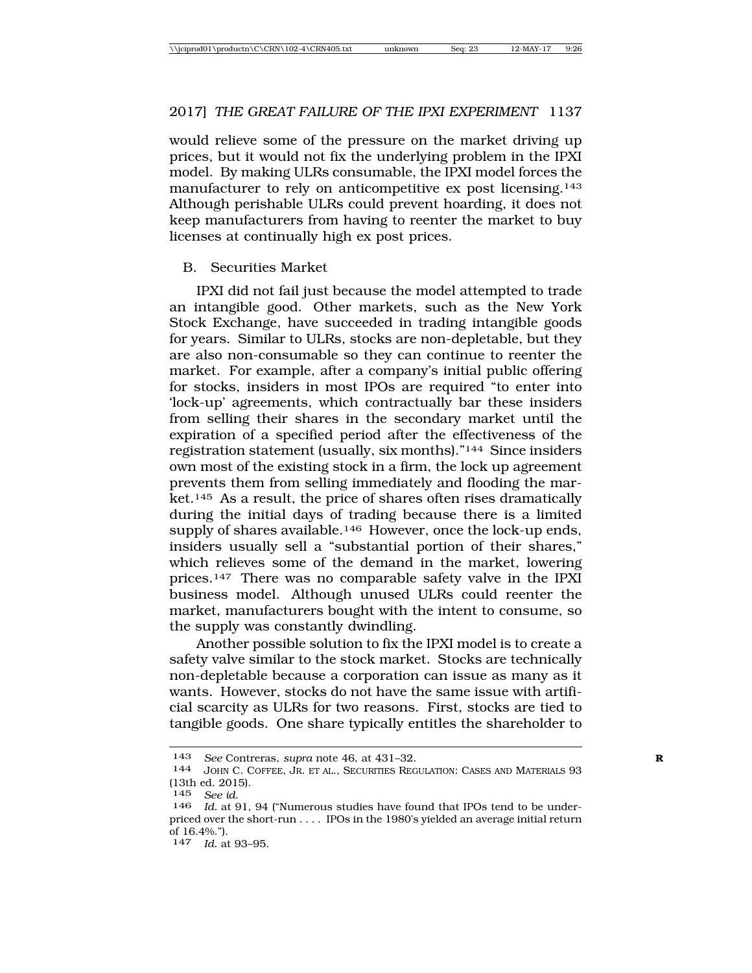would relieve some of the pressure on the market driving up prices, but it would not fix the underlying problem in the IPXI model. By making ULRs consumable, the IPXI model forces the manufacturer to rely on anticompetitive ex post licensing.143 Although perishable ULRs could prevent hoarding, it does not keep manufacturers from having to reenter the market to buy licenses at continually high ex post prices.

## B. Securities Market

IPXI did not fail just because the model attempted to trade an intangible good. Other markets, such as the New York Stock Exchange, have succeeded in trading intangible goods for years. Similar to ULRs, stocks are non-depletable, but they are also non-consumable so they can continue to reenter the market. For example, after a company's initial public offering for stocks, insiders in most IPOs are required "to enter into 'lock-up' agreements, which contractually bar these insiders from selling their shares in the secondary market until the expiration of a specified period after the effectiveness of the registration statement (usually, six months)."144 Since insiders own most of the existing stock in a firm, the lock up agreement prevents them from selling immediately and flooding the market.145 As a result, the price of shares often rises dramatically during the initial days of trading because there is a limited supply of shares available.<sup>146</sup> However, once the lock-up ends, insiders usually sell a "substantial portion of their shares," which relieves some of the demand in the market, lowering prices.147 There was no comparable safety valve in the IPXI business model. Although unused ULRs could reenter the market, manufacturers bought with the intent to consume, so the supply was constantly dwindling.

Another possible solution to fix the IPXI model is to create a safety valve similar to the stock market. Stocks are technically non-depletable because a corporation can issue as many as it wants. However, stocks do not have the same issue with artificial scarcity as ULRs for two reasons. First, stocks are tied to tangible goods. One share typically entitles the shareholder to

147 *Id.* at 93–95.

<sup>143</sup> *See* Contreras, *supra* note 46, at 431–32.<br>144 *JOHN C. COEEEE* JR ET AL. SECURITIES REG

JOHN C. COFFEE, JR. ET AL., SECURITIES REGULATION: CASES AND MATERIALS 93 (13th ed. 2015).

<sup>145</sup> *See id.*

Id. at 91, 94 ("Numerous studies have found that IPOs tend to be underpriced over the short-run . . . . IPOs in the 1980's yielded an average initial return of 16.4%.").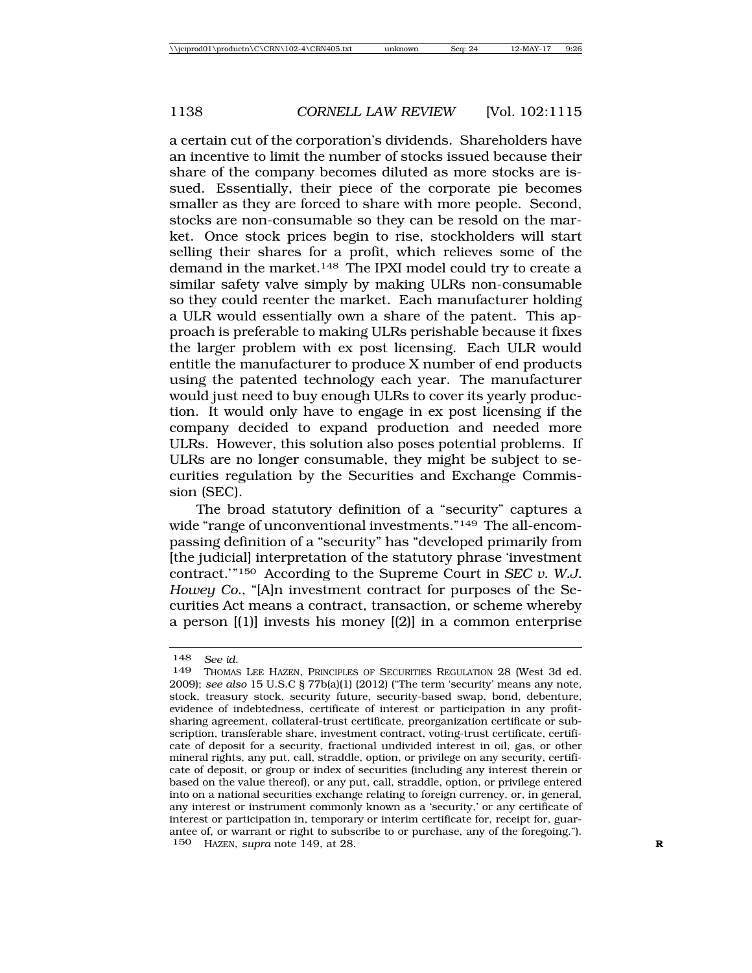a certain cut of the corporation's dividends. Shareholders have an incentive to limit the number of stocks issued because their share of the company becomes diluted as more stocks are issued. Essentially, their piece of the corporate pie becomes smaller as they are forced to share with more people. Second, stocks are non-consumable so they can be resold on the market. Once stock prices begin to rise, stockholders will start selling their shares for a profit, which relieves some of the demand in the market.148 The IPXI model could try to create a similar safety valve simply by making ULRs non-consumable so they could reenter the market. Each manufacturer holding a ULR would essentially own a share of the patent. This approach is preferable to making ULRs perishable because it fixes the larger problem with ex post licensing. Each ULR would entitle the manufacturer to produce X number of end products using the patented technology each year. The manufacturer would just need to buy enough ULRs to cover its yearly production. It would only have to engage in ex post licensing if the company decided to expand production and needed more ULRs. However, this solution also poses potential problems. If ULRs are no longer consumable, they might be subject to securities regulation by the Securities and Exchange Commission (SEC).

The broad statutory definition of a "security" captures a wide "range of unconventional investments."149 The all-encompassing definition of a "security" has "developed primarily from [the judicial] interpretation of the statutory phrase 'investment contract.'"150 According to the Supreme Court in *SEC v. W.J. Howey Co.*, "[A]n investment contract for purposes of the Securities Act means a contract, transaction, or scheme whereby a person [(1)] invests his money [(2)] in a common enterprise

<sup>148</sup> *See id.*

THOMAS LEE HAZEN, PRINCIPLES OF SECURITIES REGULATION 28 (West 3d ed. 2009); *see also* 15 U.S.C § 77b(a)(1) (2012) ("The term 'security' means any note, stock, treasury stock, security future, security-based swap, bond, debenture, evidence of indebtedness, certificate of interest or participation in any profitsharing agreement, collateral-trust certificate, preorganization certificate or subscription, transferable share, investment contract, voting-trust certificate, certificate of deposit for a security, fractional undivided interest in oil, gas, or other mineral rights, any put, call, straddle, option, or privilege on any security, certificate of deposit, or group or index of securities (including any interest therein or based on the value thereof), or any put, call, straddle, option, or privilege entered into on a national securities exchange relating to foreign currency, or, in general, any interest or instrument commonly known as a 'security,' or any certificate of interest or participation in, temporary or interim certificate for, receipt for, guarantee of, or warrant or right to subscribe to or purchase, any of the foregoing."). 150 HAZEN, *supra* note 149, at 28. **R**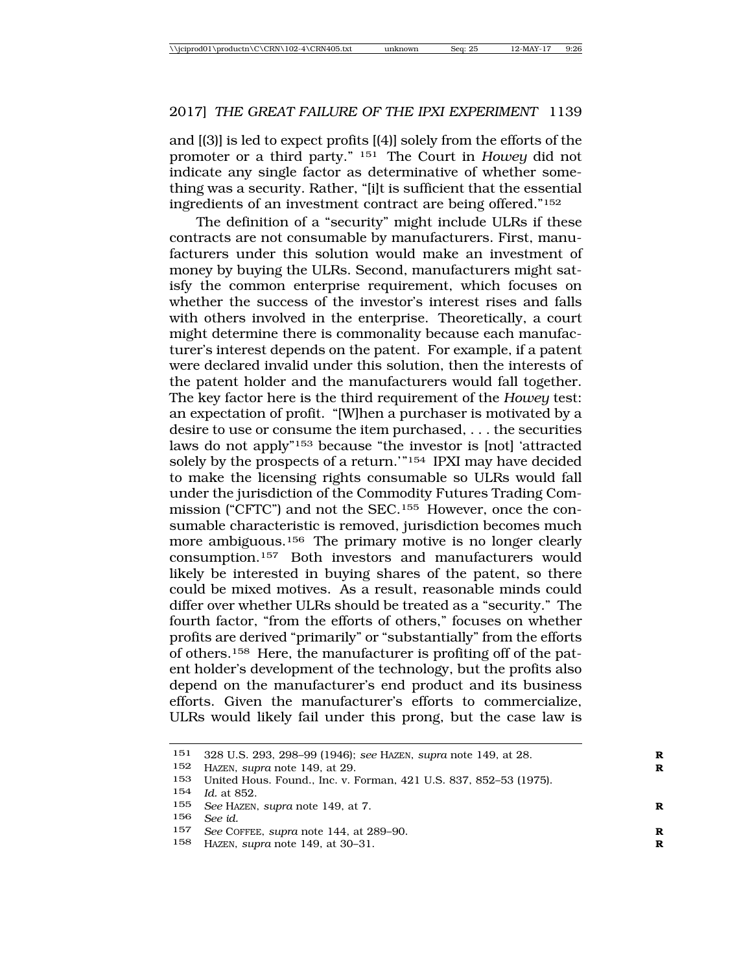and [(3)] is led to expect profits [(4)] solely from the efforts of the promoter or a third party." 151 The Court in *Howey* did not indicate any single factor as determinative of whether something was a security. Rather, "[i]t is sufficient that the essential ingredients of an investment contract are being offered."152

The definition of a "security" might include ULRs if these contracts are not consumable by manufacturers. First, manufacturers under this solution would make an investment of money by buying the ULRs. Second, manufacturers might satisfy the common enterprise requirement, which focuses on whether the success of the investor's interest rises and falls with others involved in the enterprise. Theoretically, a court might determine there is commonality because each manufacturer's interest depends on the patent. For example, if a patent were declared invalid under this solution, then the interests of the patent holder and the manufacturers would fall together. The key factor here is the third requirement of the *Howey* test: an expectation of profit. "[W]hen a purchaser is motivated by a desire to use or consume the item purchased, . . . the securities laws do not apply"153 because "the investor is [not] 'attracted solely by the prospects of a return.'"154 IPXI may have decided to make the licensing rights consumable so ULRs would fall under the jurisdiction of the Commodity Futures Trading Commission ("CFTC") and not the SEC.155 However, once the consumable characteristic is removed, jurisdiction becomes much more ambiguous.<sup>156</sup> The primary motive is no longer clearly consumption.157 Both investors and manufacturers would likely be interested in buying shares of the patent, so there could be mixed motives. As a result, reasonable minds could differ over whether ULRs should be treated as a "security." The fourth factor, "from the efforts of others," focuses on whether profits are derived "primarily" or "substantially" from the efforts of others.158 Here, the manufacturer is profiting off of the patent holder's development of the technology, but the profits also depend on the manufacturer's end product and its business efforts. Given the manufacturer's efforts to commercialize, ULRs would likely fail under this prong, but the case law is

<sup>151</sup> 328 U.S. 293, 298–99 (1946); *see* HAZEN, *supra* note 149, at 28. **R**

<sup>152</sup> HAZEN, *supra* note 149, at 29. **R**

<sup>153</sup> United Hous. Found., Inc. v. Forman, 421 U.S. 837, 852–53 (1975).

<sup>154</sup> *Id.* at 852.

<sup>155</sup> *See* HAZEN, *supra* note 149, at 7. **R**

<sup>156</sup> *See id.*

<sup>157</sup> *See* COFFEE, *supra* note 144, at 289–90. **R**

<sup>158</sup> HAZEN, *supra* note 149, at 30–31. **R**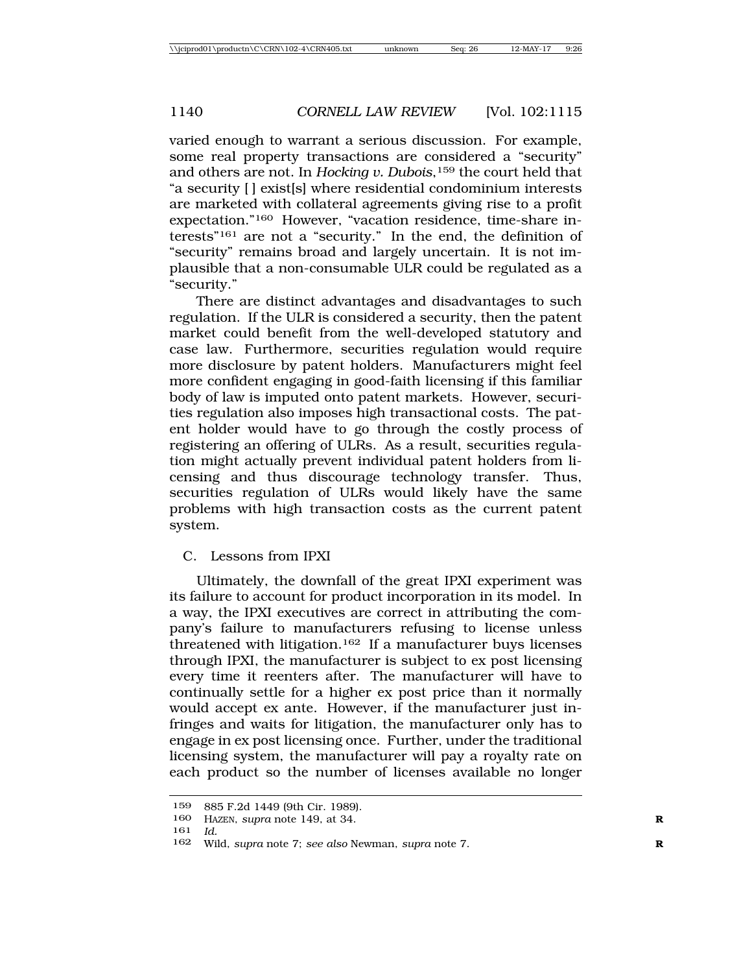varied enough to warrant a serious discussion. For example, some real property transactions are considered a "security" and others are not. In *Hocking v. Dubois*,159 the court held that "a security [ ] exist[s] where residential condominium interests are marketed with collateral agreements giving rise to a profit expectation."160 However, "vacation residence, time-share interests"161 are not a "security." In the end, the definition of "security" remains broad and largely uncertain. It is not implausible that a non-consumable ULR could be regulated as a "security."

There are distinct advantages and disadvantages to such regulation. If the ULR is considered a security, then the patent market could benefit from the well-developed statutory and case law. Furthermore, securities regulation would require more disclosure by patent holders. Manufacturers might feel more confident engaging in good-faith licensing if this familiar body of law is imputed onto patent markets. However, securities regulation also imposes high transactional costs. The patent holder would have to go through the costly process of registering an offering of ULRs. As a result, securities regulation might actually prevent individual patent holders from licensing and thus discourage technology transfer. Thus, securities regulation of ULRs would likely have the same problems with high transaction costs as the current patent system.

## C. Lessons from IPXI

Ultimately, the downfall of the great IPXI experiment was its failure to account for product incorporation in its model. In a way, the IPXI executives are correct in attributing the company's failure to manufacturers refusing to license unless threatened with litigation.162 If a manufacturer buys licenses through IPXI, the manufacturer is subject to ex post licensing every time it reenters after. The manufacturer will have to continually settle for a higher ex post price than it normally would accept ex ante. However, if the manufacturer just infringes and waits for litigation, the manufacturer only has to engage in ex post licensing once. Further, under the traditional licensing system, the manufacturer will pay a royalty rate on each product so the number of licenses available no longer

<sup>159</sup> 885 F.2d 1449 (9th Cir. 1989).

<sup>160</sup> HAZEN, *supra* note 149, at 34. **R**

<sup>161</sup> *Id.*

<sup>162</sup> Wild, *supra* note 7; *see also* Newman, *supra* note 7. **R**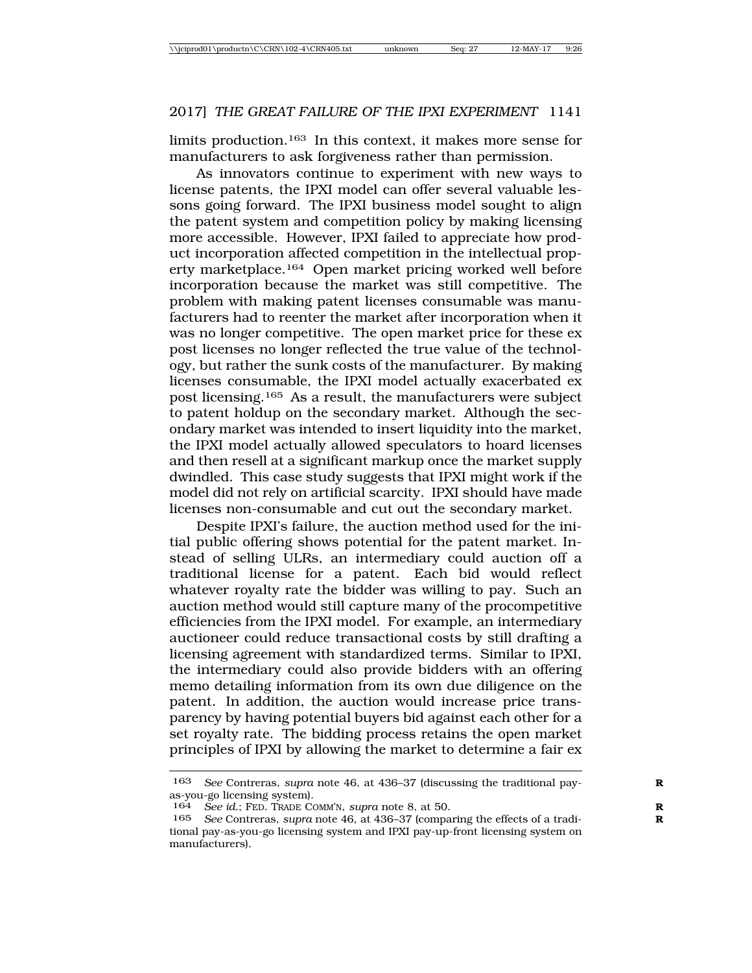limits production.163 In this context, it makes more sense for manufacturers to ask forgiveness rather than permission.

As innovators continue to experiment with new ways to license patents, the IPXI model can offer several valuable lessons going forward. The IPXI business model sought to align the patent system and competition policy by making licensing more accessible. However, IPXI failed to appreciate how product incorporation affected competition in the intellectual property marketplace.164 Open market pricing worked well before incorporation because the market was still competitive. The problem with making patent licenses consumable was manufacturers had to reenter the market after incorporation when it was no longer competitive. The open market price for these ex post licenses no longer reflected the true value of the technology, but rather the sunk costs of the manufacturer. By making licenses consumable, the IPXI model actually exacerbated ex post licensing.165 As a result, the manufacturers were subject to patent holdup on the secondary market. Although the secondary market was intended to insert liquidity into the market, the IPXI model actually allowed speculators to hoard licenses and then resell at a significant markup once the market supply dwindled. This case study suggests that IPXI might work if the model did not rely on artificial scarcity. IPXI should have made licenses non-consumable and cut out the secondary market.

Despite IPXI's failure, the auction method used for the initial public offering shows potential for the patent market. Instead of selling ULRs, an intermediary could auction off a traditional license for a patent. Each bid would reflect whatever royalty rate the bidder was willing to pay. Such an auction method would still capture many of the procompetitive efficiencies from the IPXI model. For example, an intermediary auctioneer could reduce transactional costs by still drafting a licensing agreement with standardized terms. Similar to IPXI, the intermediary could also provide bidders with an offering memo detailing information from its own due diligence on the patent. In addition, the auction would increase price transparency by having potential buyers bid against each other for a set royalty rate. The bidding process retains the open market principles of IPXI by allowing the market to determine a fair ex

<sup>163</sup> *See* Contreras, *supra* note 46, at 436–37 (discussing the traditional pay- **R** as-you-go licensing system).

<sup>164</sup> *See id*.; FED. TRADE COMM'N, *supra* note 8, at 50. **R**

<sup>165</sup> *See* Contreras, *supra* note 46, at 436–37 (comparing the effects of a tradi- **R** tional pay-as-you-go licensing system and IPXI pay-up-front licensing system on manufacturers).